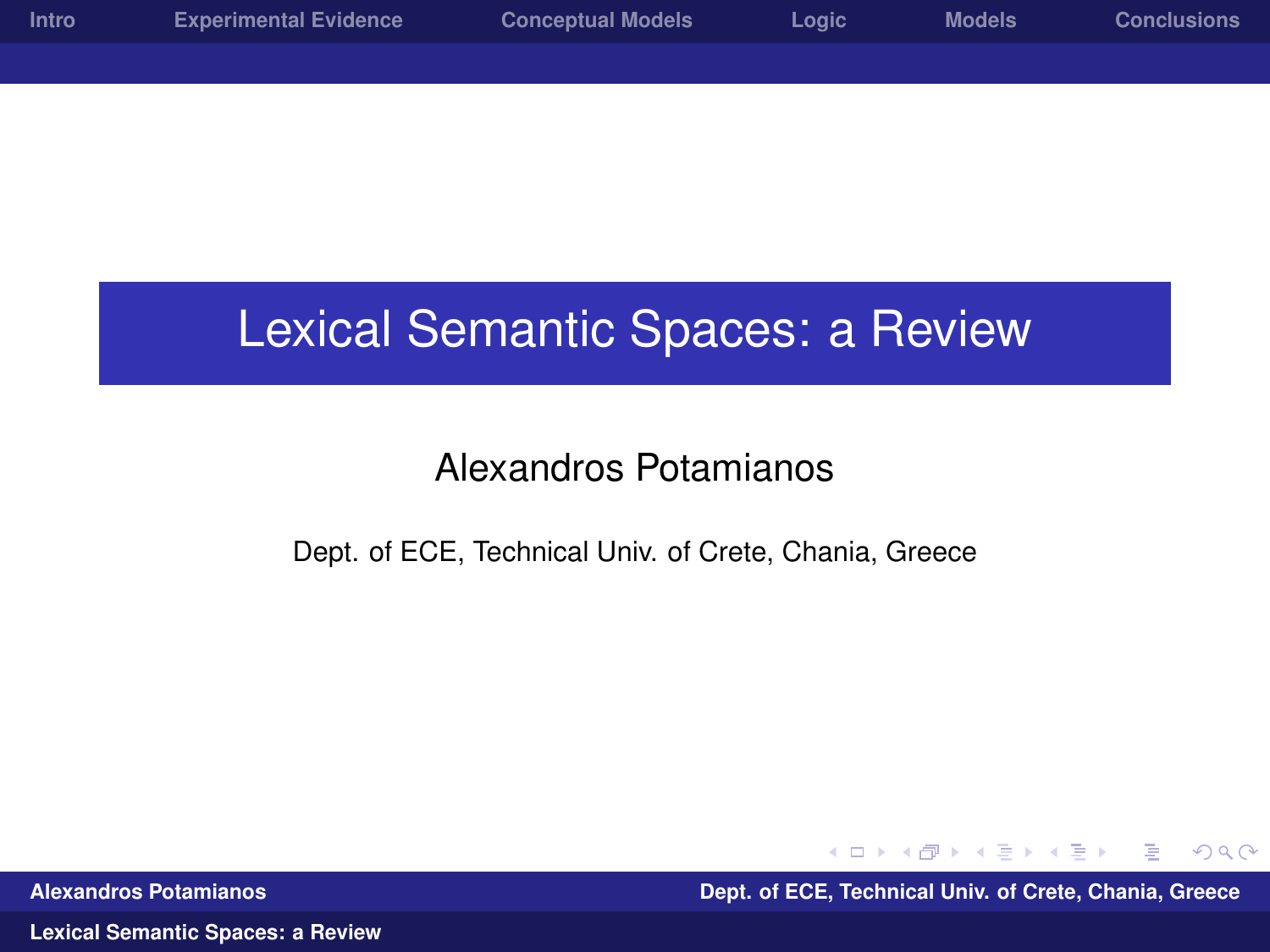| <b>Intro</b> | <b>Experimental Evidence</b> | <b>Conceptual Models</b> | Logic | <b>Models</b> | <b>Conclusions</b> |
|--------------|------------------------------|--------------------------|-------|---------------|--------------------|
|              |                              |                          |       |               |                    |
|              |                              |                          |       |               |                    |

#### Lexical Semantic Spaces: a Review

#### Alexandros Potamianos

#### Dept. of ECE, Technical Univ. of Crete, Chania, Greece

<span id="page-0-0"></span> $QQ$ ヨメス国

**Alexandros Potamianos Dept. of ECE, Technical Univ. of Crete, Chania, Greece**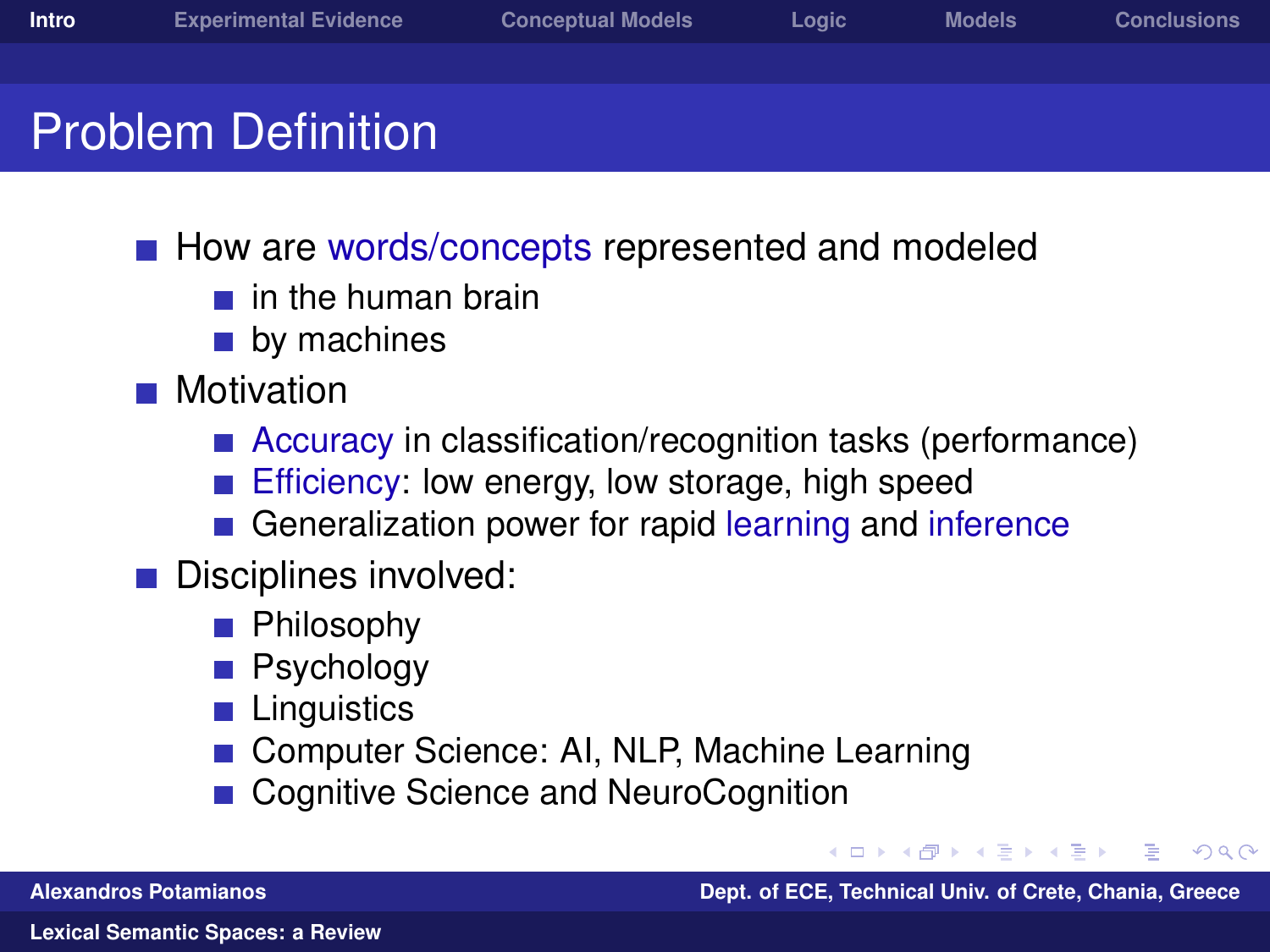- How are words/concepts represented and modeled
	- $\blacksquare$  in the human brain
	- **by machines**
- **Motivation** 
	- Accuracy in classification/recognition tasks (performance)
	- Efficiency: low energy, low storage, high speed
	- Generalization power for rapid learning and inference
- Disciplines involved:
	- **Philosophy**
	- Psychology
	- **Linguistics**
	- **Computer Science: AI, NLP, Machine Learning**
	- Cognitive Science and NeuroCognition

**Alexandros Potamianos Dept. of ECE, Technical Univ. of Crete, Chania, Greece**

<span id="page-1-0"></span>つくへ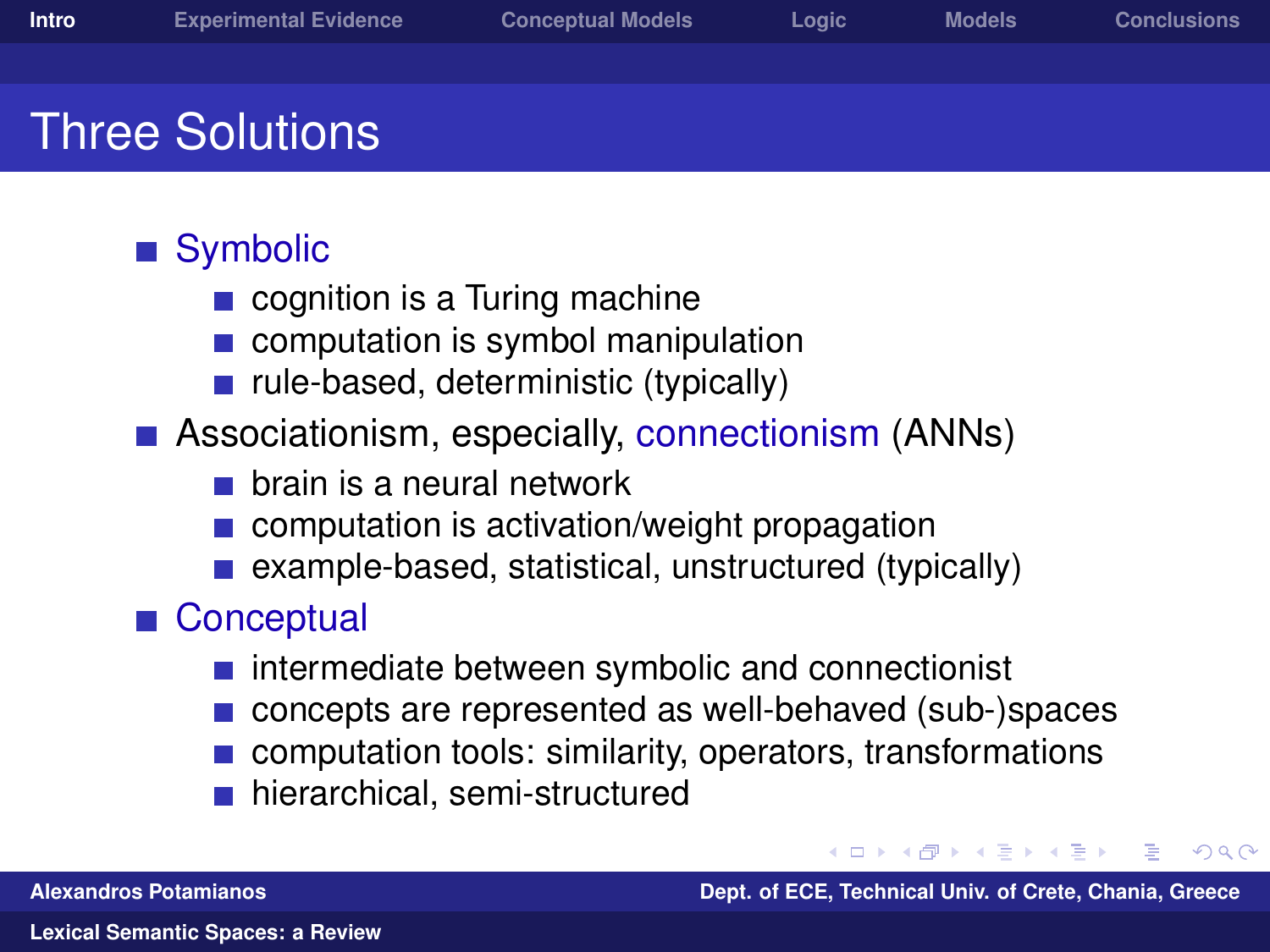## Three Solutions

#### ■ Symbolic

- cognition is a Turing machine
- computation is symbol manipulation  $\mathcal{L}^{\mathcal{A}}$
- rule-based, deterministic (typically)
- **Associationism, especially, connectionism (ANNs)** 
	- $\blacksquare$  brain is a neural network
	- computation is activation/weight propagation
	- example-based, statistical, unstructured (typically)

#### ■ Conceptual

- intermediate between symbolic and connectionist
- concepts are represented as well-behaved (sub-)spaces
- computation tools: similarity, operators, transformations
- hierarchical, semi-structured

つくへ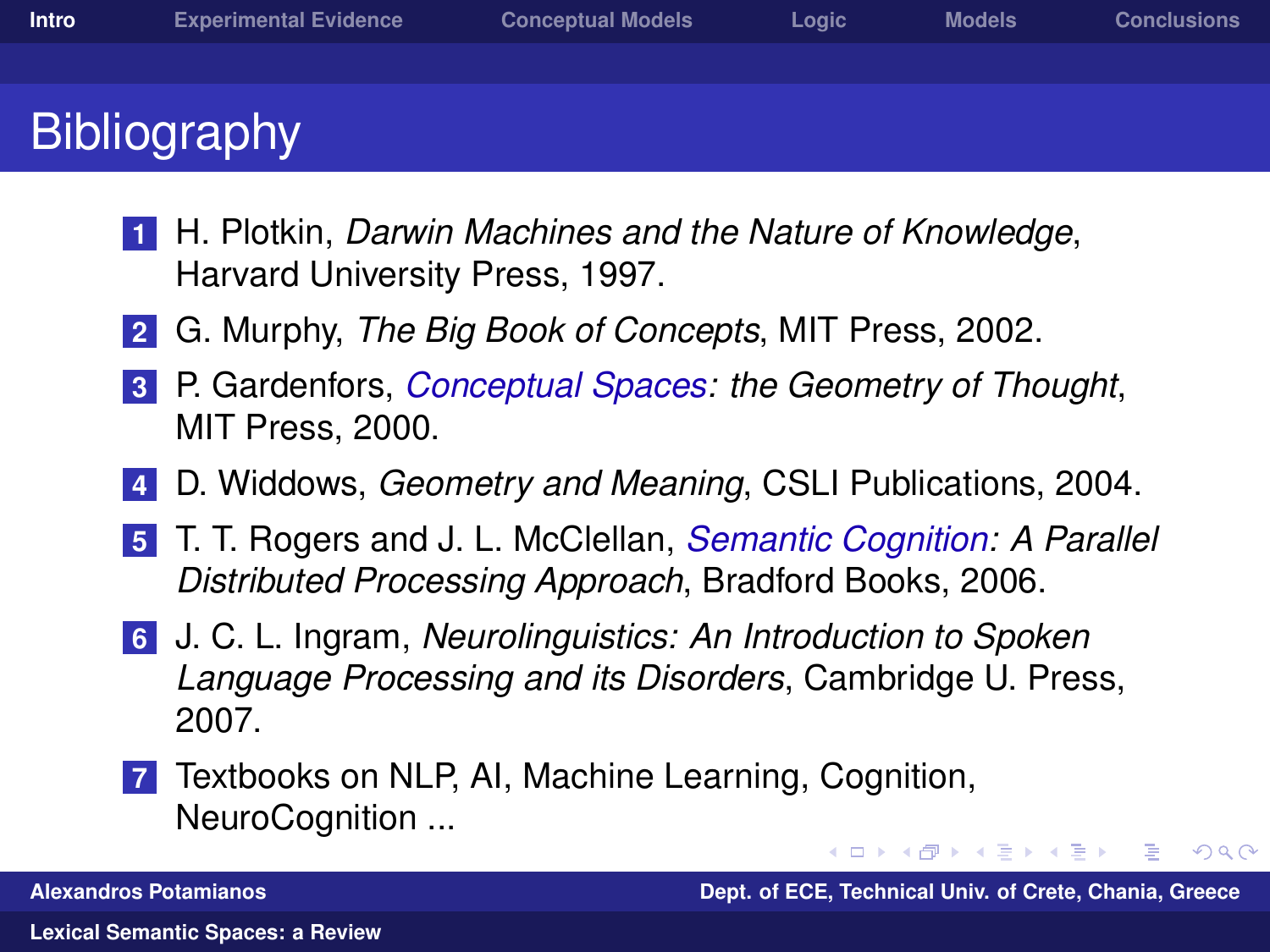- **1** H. Plotkin, *Darwin Machines and the Nature of Knowledge*, Harvard University Press, 1997.
- **2** G. Murphy, *The Big Book of Concepts*, MIT Press, 2002.
- **3** P. Gardenfors, *Conceptual Spaces: the Geometry of Thought*, MIT Press, 2000.
- **4** D. Widdows, *Geometry and Meaning*, CSLI Publications, 2004.
- **5** T. T. Rogers and J. L. McClellan, *Semantic Cognition: A Parallel Distributed Processing Approach*, Bradford Books, 2006.
- **6** J. C. L. Ingram, *Neurolinguistics: An Introduction to Spoken Language Processing and its Disorders*, Cambridge U. Press, 2007.
- **7** Textbooks on NLP, AI, Machine Learning, Cognition, NeuroCognition ...

←ロト ←何ト ←ヨト ←ヨト **Alexandros Potamianos Dept. of ECE, Technical Univ. of Crete, Chania, Greece**

 $\Omega$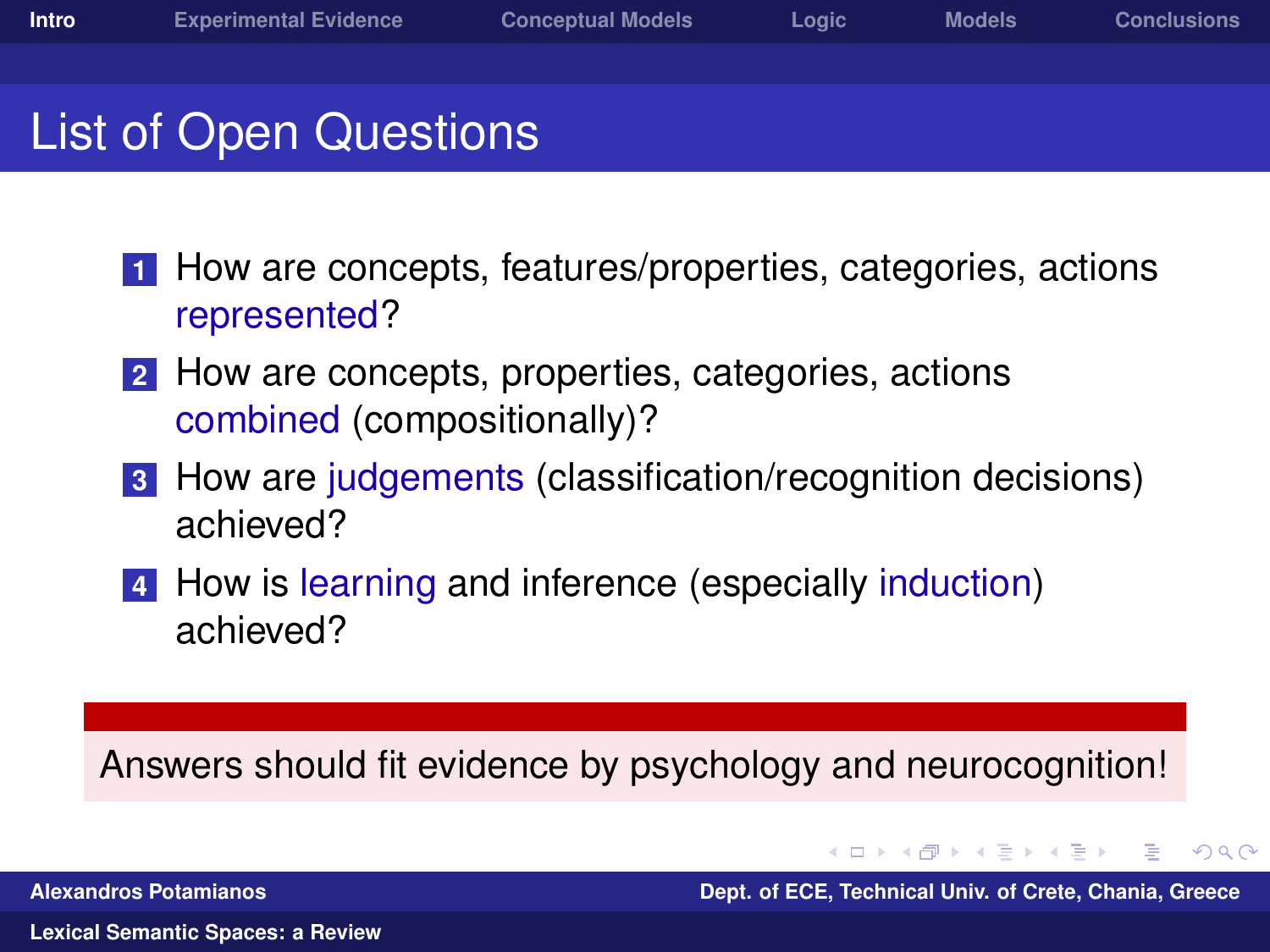### List of Open Questions

- **1** How are concepts, features/properties, categories, actions represented?
- **2** How are concepts, properties, categories, actions combined (compositionally)?
- **3** How are judgements (classification/recognition decisions) achieved?
- **4** How is learning and inference (especially induction) achieved?

Answers should fit evidence by psychology and neurocognition!

←ロ→ ←何→ ←ヨ→ ←ヨ **Alexandros Potamianos Dept. of ECE, Technical Univ. of Crete, Chania, Greece**

 $\Omega$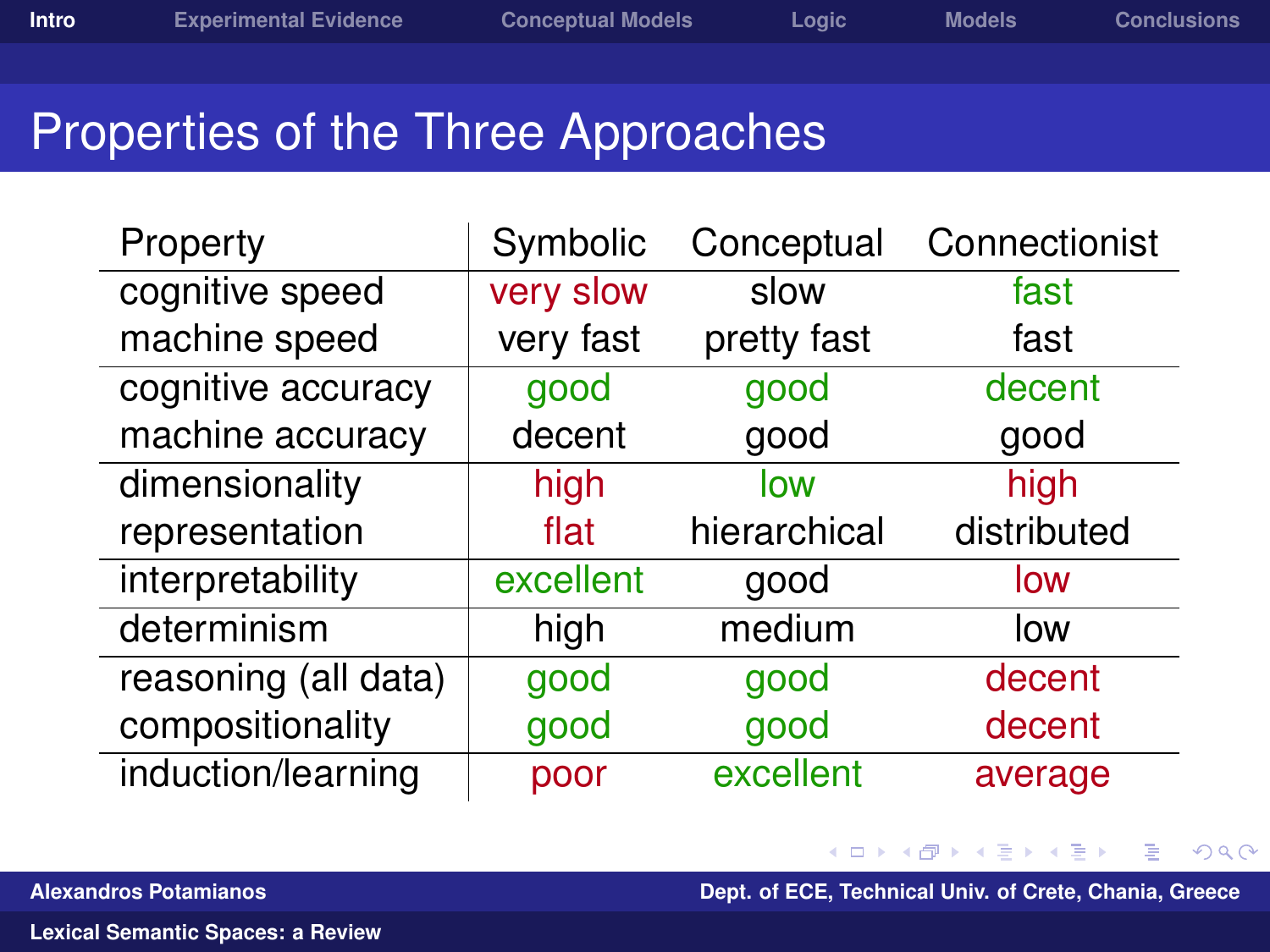$QQ$ 

### Properties of the Three Approaches

| Property             | Symbolic  | Conceptual   | Connectionist |
|----------------------|-----------|--------------|---------------|
| cognitive speed      | very slow | slow         | fast          |
| machine speed        | very fast | pretty fast  | fast          |
| cognitive accuracy   | good      | good         | decent        |
| machine accuracy     | decent    | good         | good          |
| dimensionality       | high      | low          | high          |
| representation       | flat      | hierarchical | distributed   |
|                      |           |              |               |
| interpretability     | excellent | good         | low           |
| determinism          | high      | medium       | low           |
| reasoning (all data) | good      | good         | decent        |
| compositionality     | good      | good         | decent        |

∋⇒ **Alexandros Potamianos Dept. of ECE, Technical Univ. of Crete, Chania, Greece**

€ □ >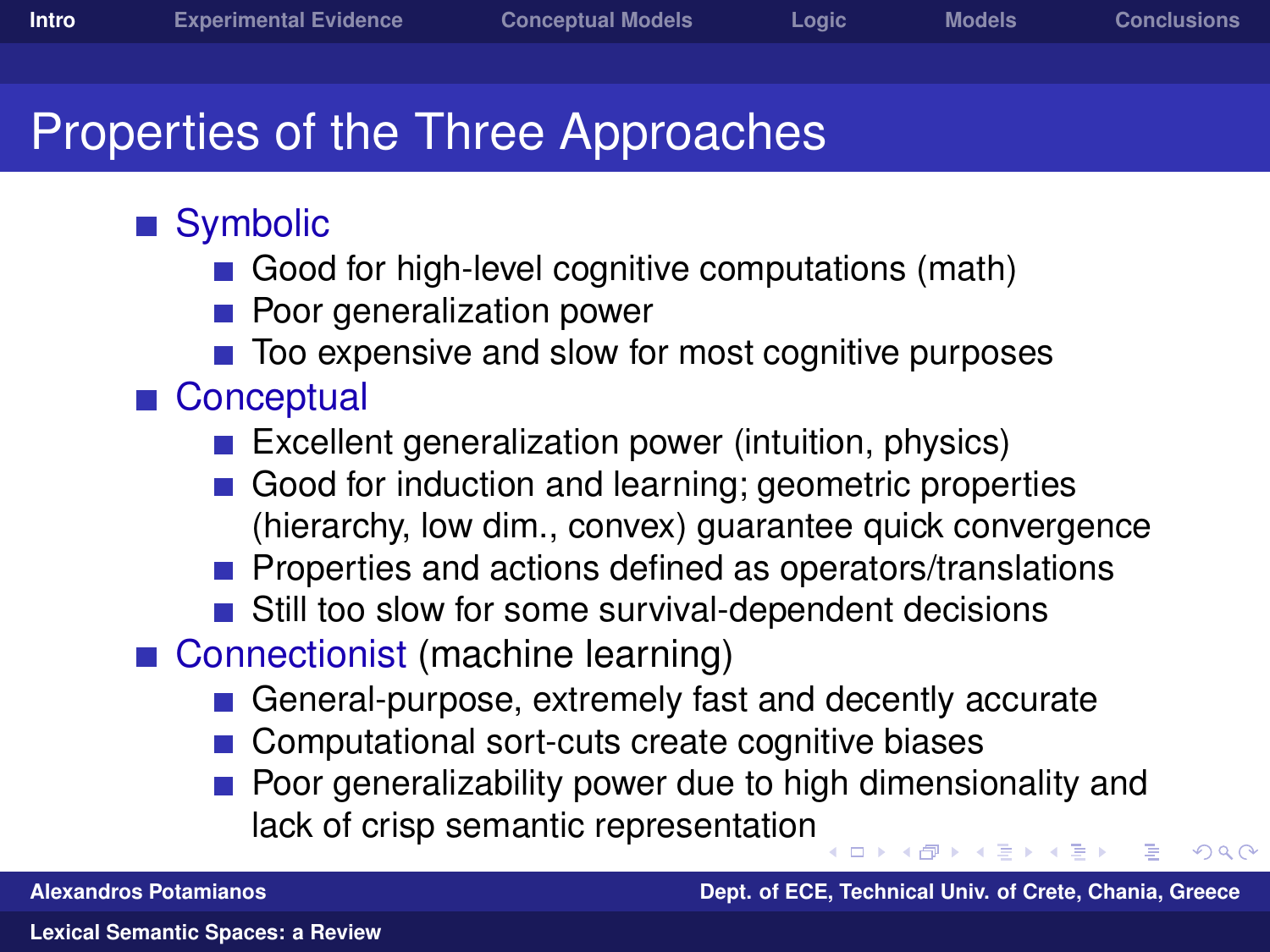- Symbolic
	- Good for high-level cognitive computations (math)
	- Poor generalization power
	- Too expensive and slow for most cognitive purposes
- Conceptual
	- Excellent generalization power (intuition, physics)
	- Good for induction and learning; geometric properties (hierarchy, low dim., convex) guarantee quick convergence
	- Properties and actions defined as operators/translations
	- Still too slow for some survival-dependent decisions
- Connectionist (machine learning)
	- General-purpose, extremely fast and decently accurate
	- Computational sort-cuts create cognitive biases
	- Poor generalizability power due to high dimensionality and lack of crisp semantic representation

 $\Omega$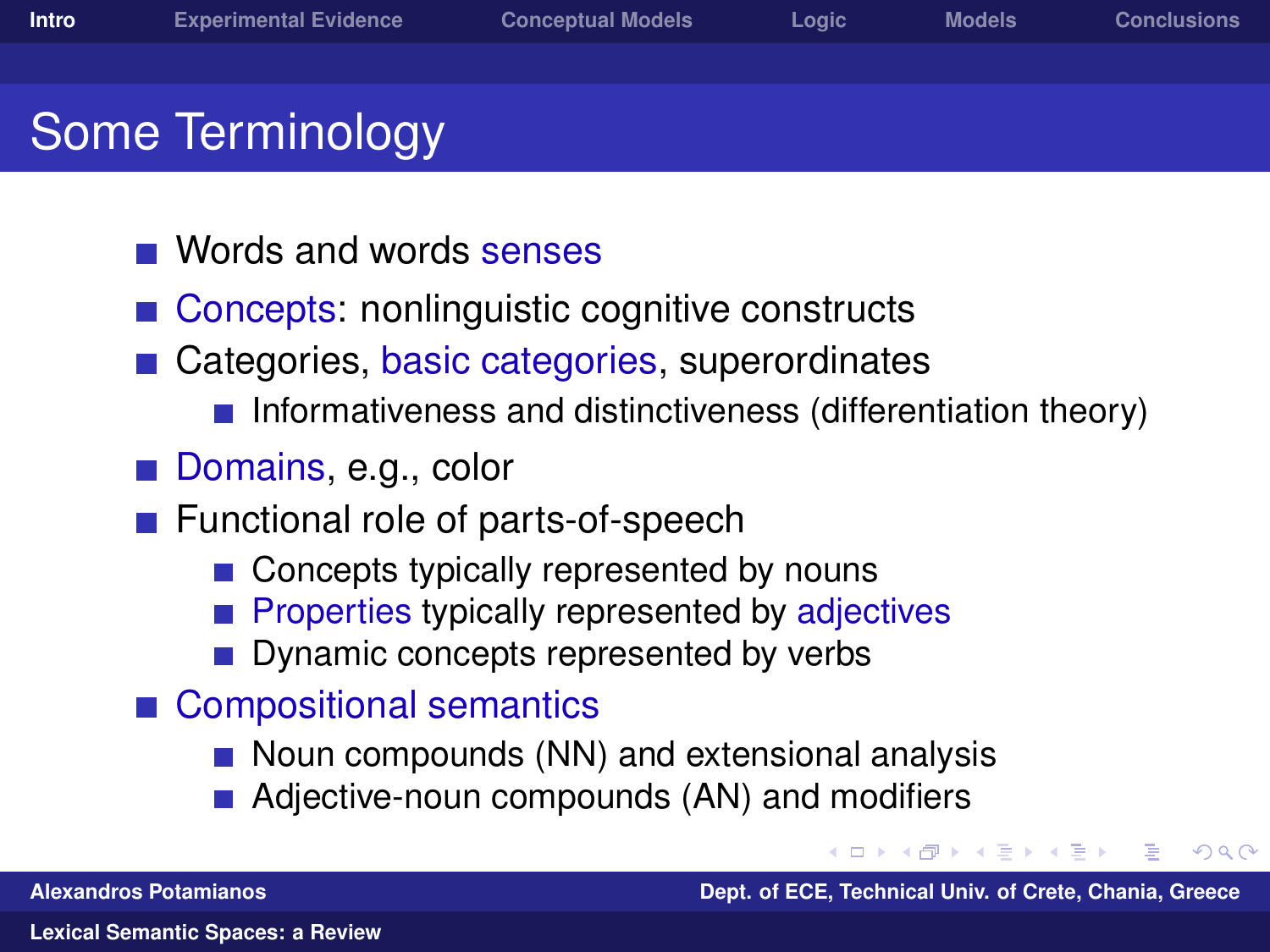- - Words and words senses
	- Concepts: nonlinguistic cognitive constructs
	- Categories, basic categories, superordinates
		- **Informativeness and distinctiveness (differentiation theory)**
	- Domains, e.g., color
	- Functional role of parts-of-speech
		- Concepts typically represented by nouns
		- Properties typically represented by adjectives
		- Dynamic concepts represented by verbs
	- Compositional semantics
		- $\blacksquare$  Noun compounds (NN) and extensional analysis
		- Adjective-noun compounds (AN) and modifiers

<span id="page-7-0"></span>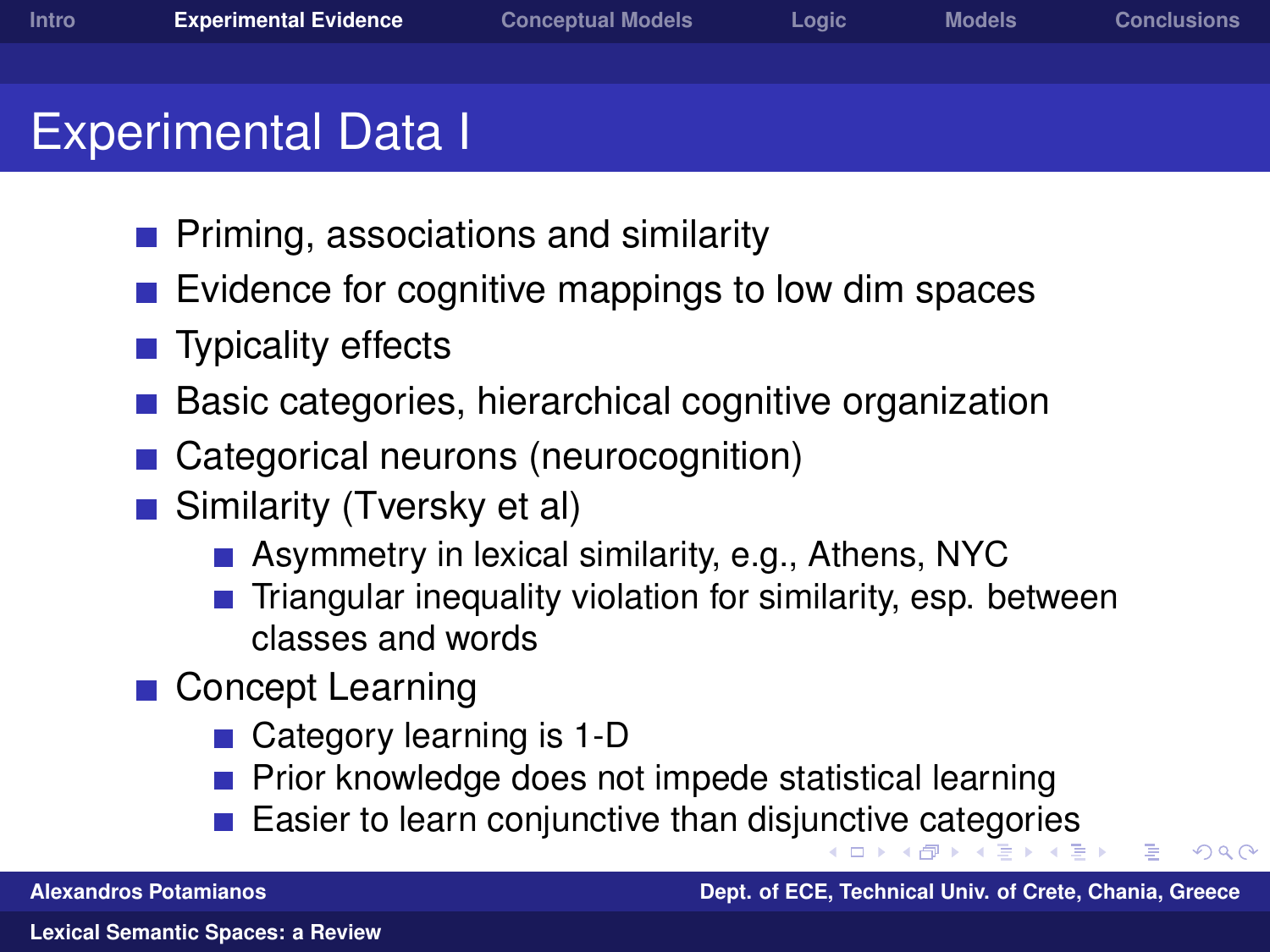- Experimental Data I
	- **Priming, associations and similarity**
	- Evidence for cognitive mappings to low dim spaces
	- Typicality effects
	- Basic categories, hierarchical cognitive organization
	- Categorical neurons (neurocognition)
	- Similarity (Tversky et al)
		- **Asymmetry in lexical similarity, e.g., Athens, NYC**
		- Triangular inequality violation for similarity, esp. between classes and words
	- Concept Learning
		- Category learning is 1-D
		- Prior knowledge does not impede statistical learning
		- Easier to learn conjunctive than disj[unc](#page-7-0)t[iv](#page-9-0)[e](#page-7-0) [ca](#page-8-0)[t](#page-9-0)[e](#page-7-0)[g](#page-8-0)[o](#page-10-0)[ri](#page-11-0)[e](#page-7-0)[s](#page-8-0)

<span id="page-8-0"></span>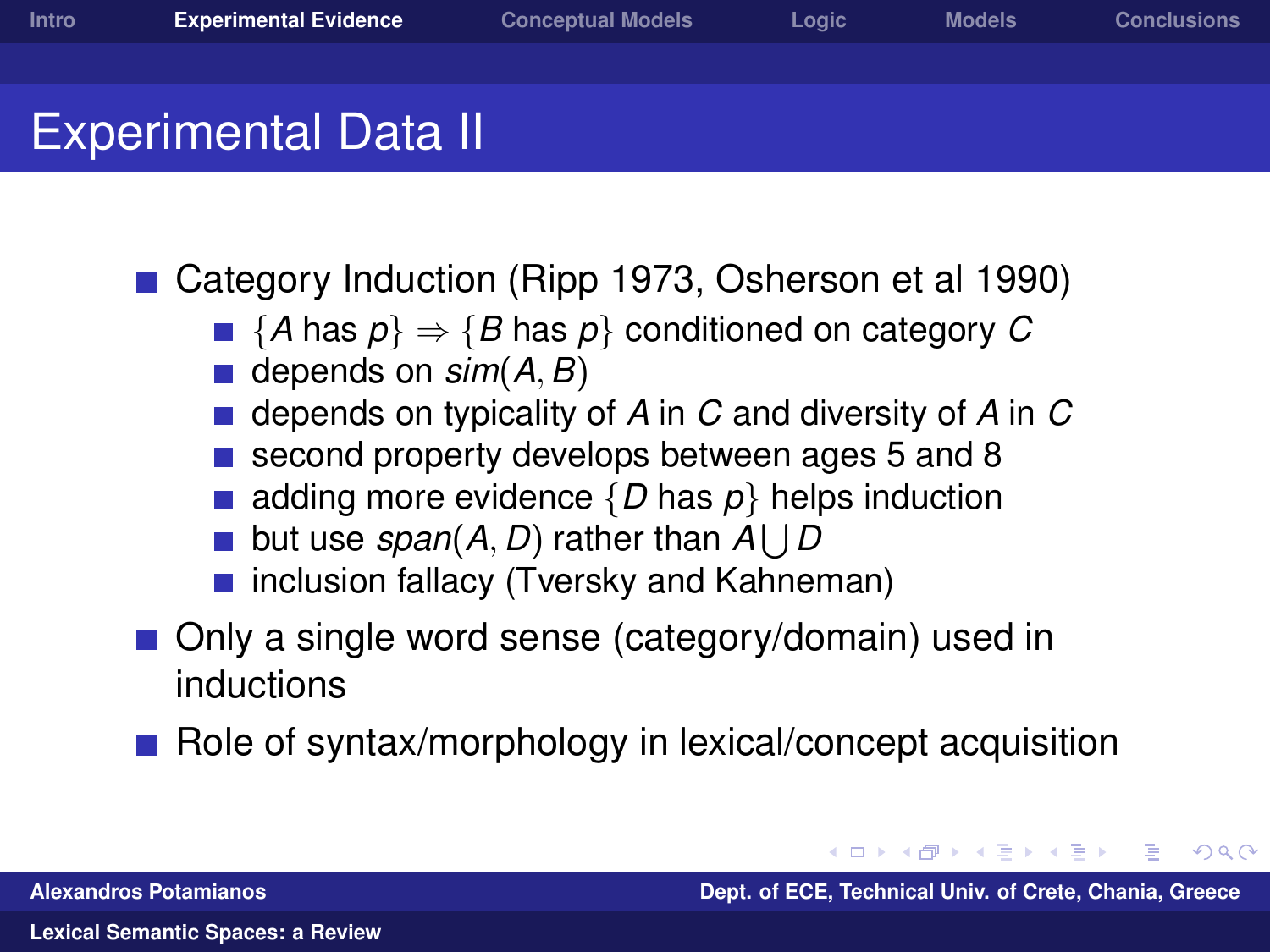#### **Experimental Data II**

■ Category Induction (Ripp 1973, Osherson et al 1990)

- ${A \text{ has } p} \Rightarrow {B \text{ has } p}$  conditioned on category *C*
- depends on *sim*(*A*, *B*)
- depends on typicality of *A* in *C* and diversity of *A* in *C*
- second property develops between ages 5 and 8
- adding more evidence  $\{D \text{ has } p\}$  helps induction
- but use *span*(A, D) rather than  $A \bigcup D$
- inclusion fallacy (Tversky and Kahneman)
- Only a single word sense (category/domain) used in inductions
- Role of syntax/morphology in lexical/concept acquisition

**K 何 ▶ ス ヨ ▶ ス ヨ** 

<span id="page-9-0"></span> $\Omega$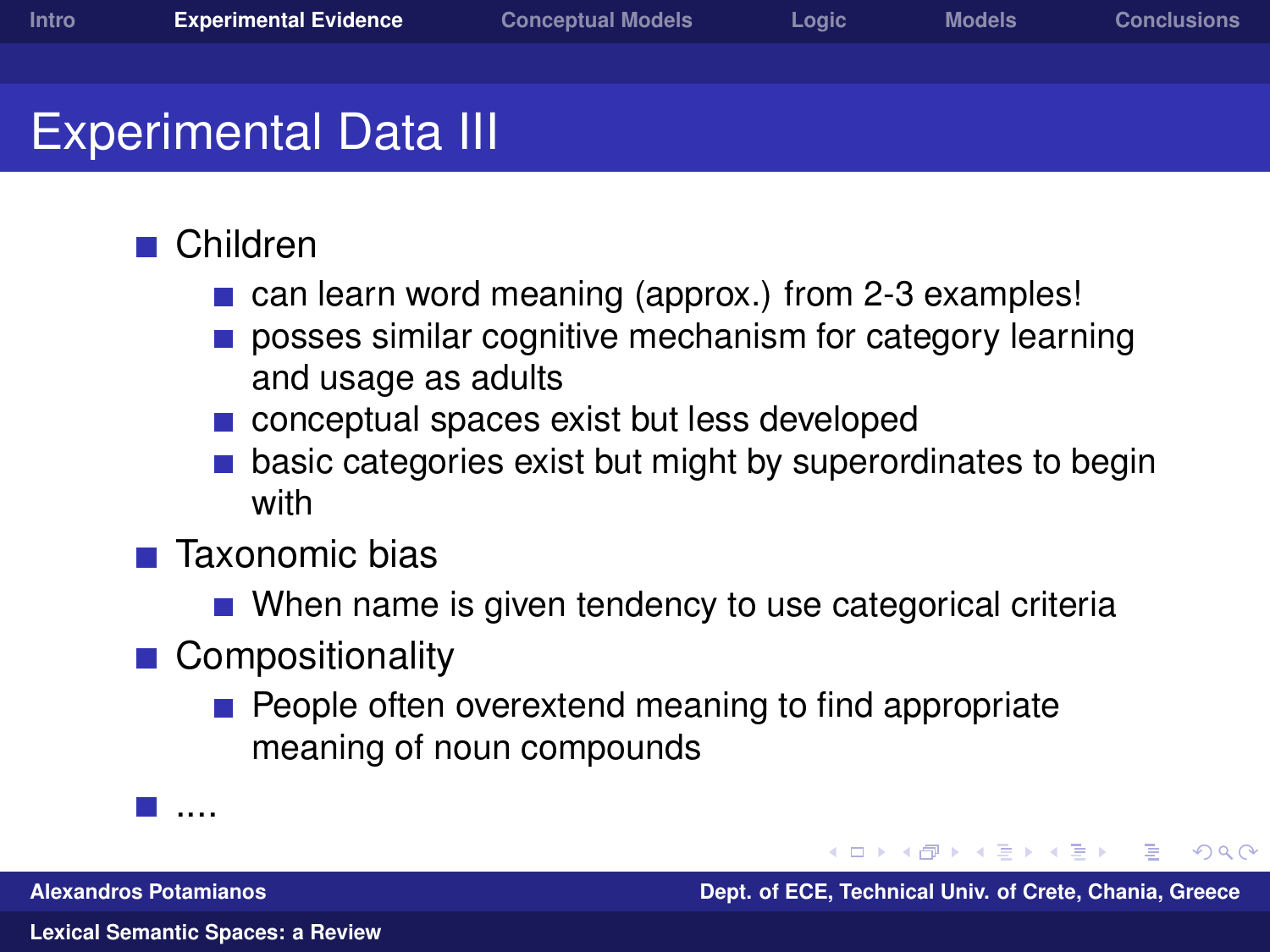#### **■ Children**

- can learn word meaning (approx.) from 2-3 examples!
- posses similar cognitive mechanism for category learning and usage as adults
- conceptual spaces exist but less developed
- basic categories exist but might by superordinates to begin with
- $\blacksquare$  Taxonomic bias
	- When name is given tendency to use categorical criteria
- Compositionality
	- People often overextend meaning to find appropriate meaning of noun compounds

....

**Alexandros Potamianos Dept. of ECE, Technical Univ. of Crete, Chania, Greece**

<span id="page-10-0"></span> $209$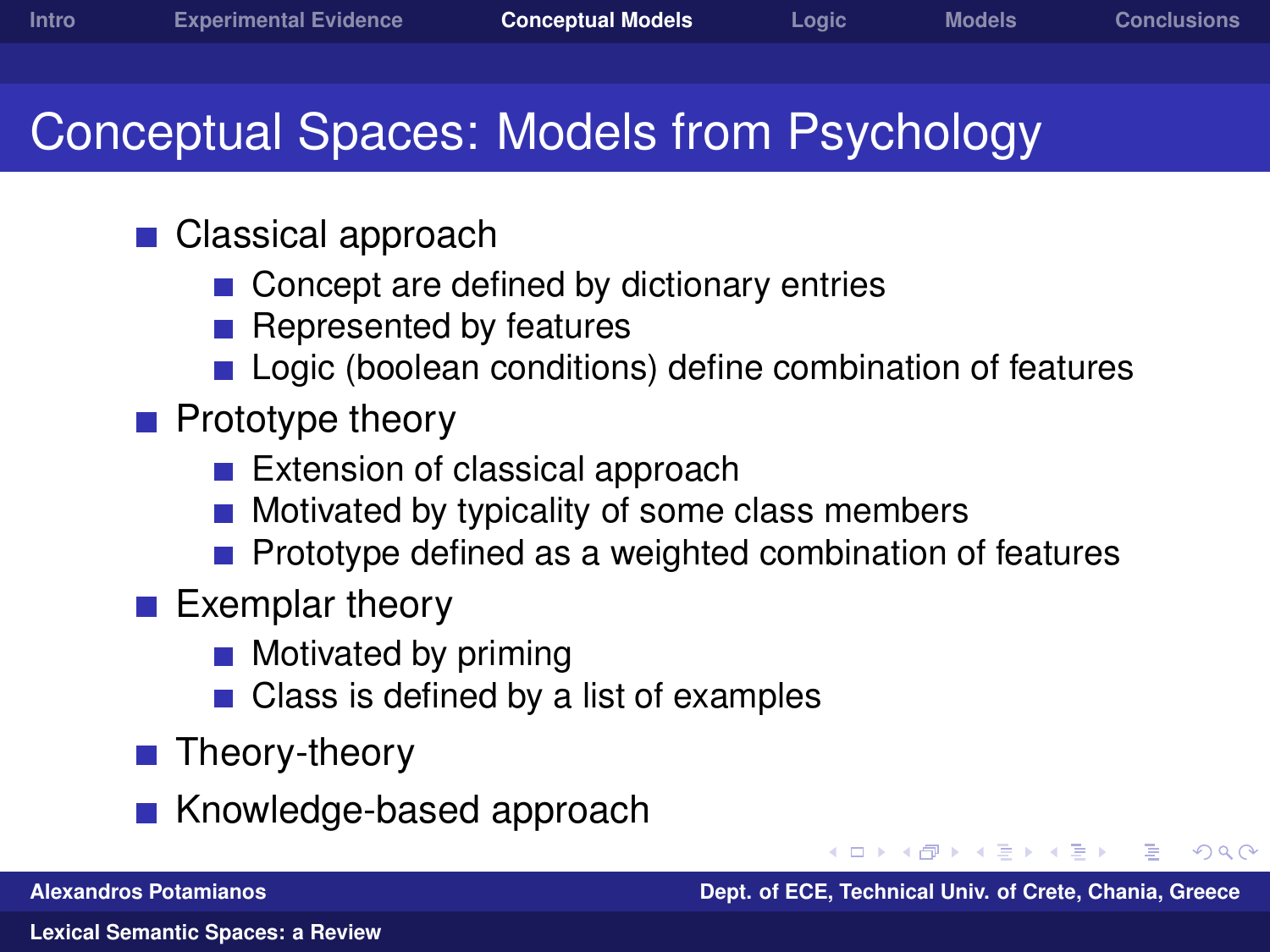## Conceptual Spaces: Models from Psychology

- Classical approach
	- Concept are defined by dictionary entries
	- Represented by features  $\sim$
	- **Logic (boolean conditions) define combination of features**
- $\blacksquare$  Prototype theory
	- Extension of classical approach
	- Motivated by typicality of some class members
	- Prototype defined as a weighted combination of features
- $\blacksquare$  Exemplar theory
	- **Motivated by priming**
	- Class is defined by a list of examples
- Theory-theory
- Knowledge-based approach

<span id="page-11-0"></span> $209$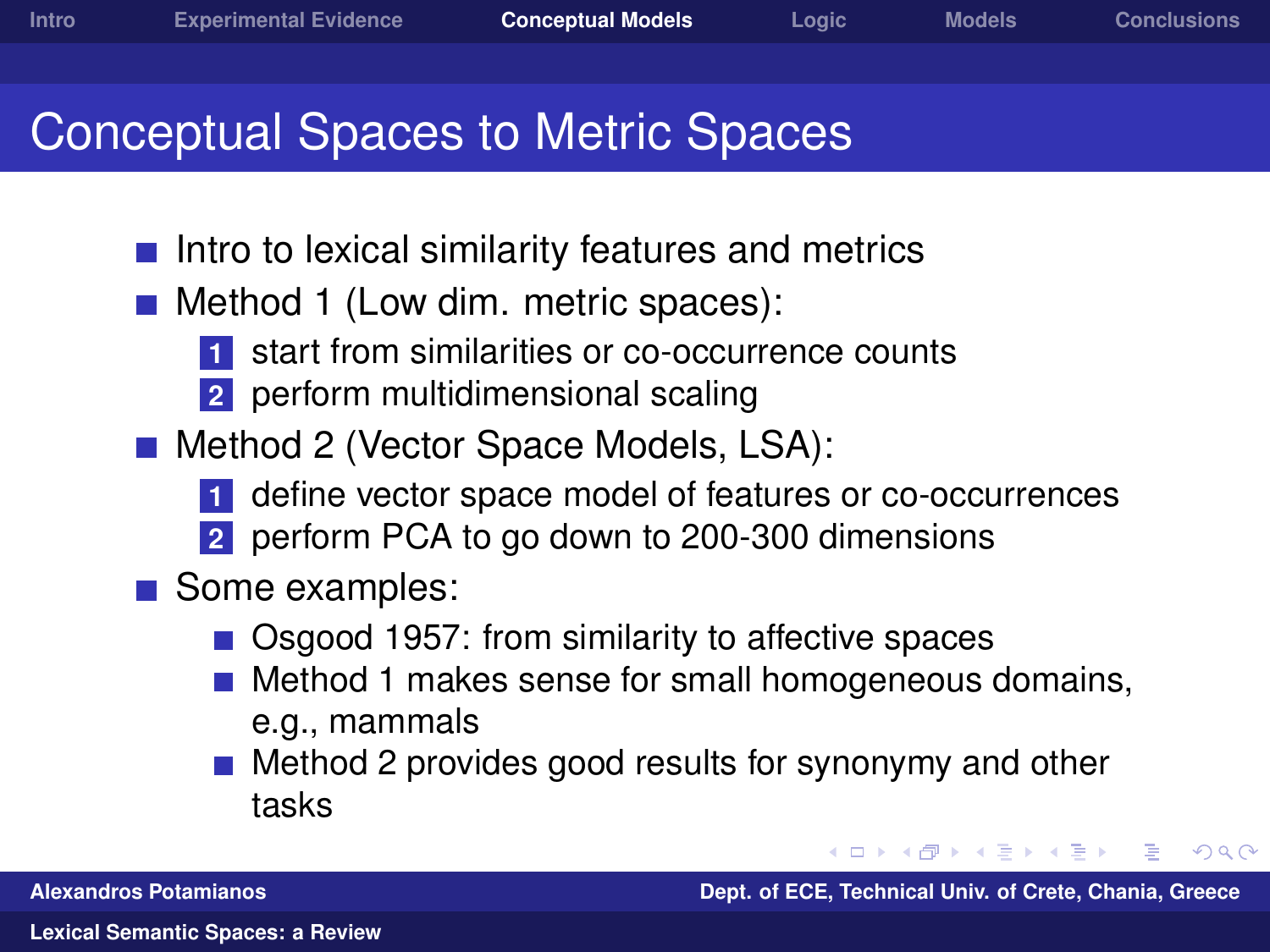## Conceptual Spaces to Metric Spaces

- $\blacksquare$  Intro to lexical similarity features and metrics
- Method 1 (Low dim. metric spaces):
	- **1** start from similarities or co-occurrence counts
	- **2** perform multidimensional scaling
- **Method 2 (Vector Space Models, LSA):** 
	- **1** define vector space model of features or co-occurrences
	- **2** perform PCA to go down to 200-300 dimensions
- Some examples:
	- Osgood 1957: from similarity to affective spaces
	- Method 1 makes sense for small homogeneous domains, e.g., mammals
	- Method 2 provides good results for synonymy and other tasks

**Alexandros Potamianos Dept. of ECE, Technical Univ. of Crete, Chania, Greece**

**A BA A B** 

<span id="page-12-0"></span> $\Omega$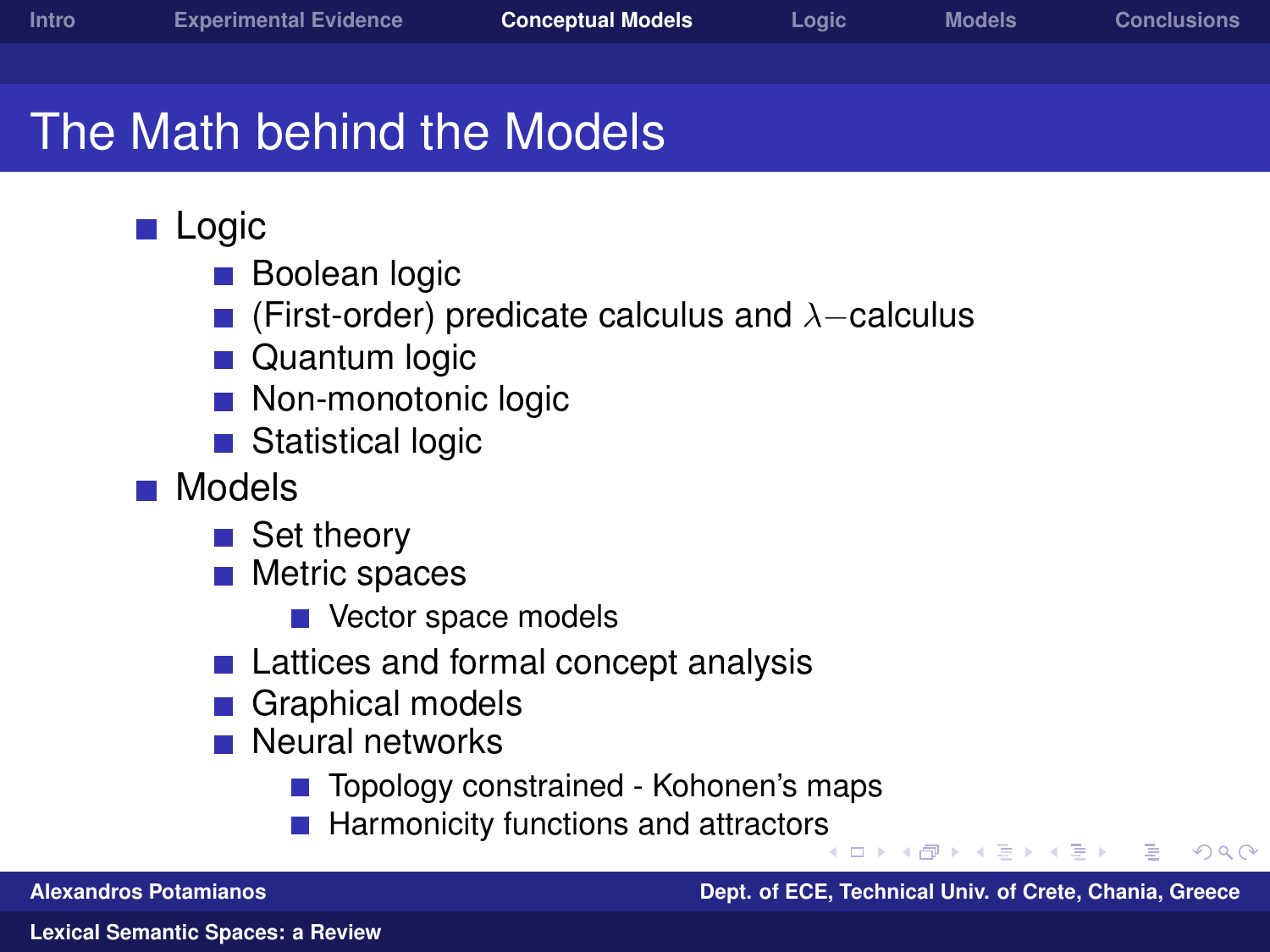$209$ 

## The Math behind the Models

#### **Logic**

- $\sim$ Boolean logic
- (First-order) predicate calculus and  $\lambda$ –calculus
- **Quantum logic**
- Non-monotonic logic
- Statistical logic
- **Models** 
	- Set theory
	- Metric spaces
		- Vector space models
	- Lattices and formal concept analysis
	- Graphical models
	- **Neural networks** 
		- Topology constrained Kohonen's maps
		- Harmonicity functions and attractor[s](#page-12-0)  $\mathbf{r}$

**Alexandros Potamianos Dept. of ECE, Technical Univ. of Crete, Chania, Greece**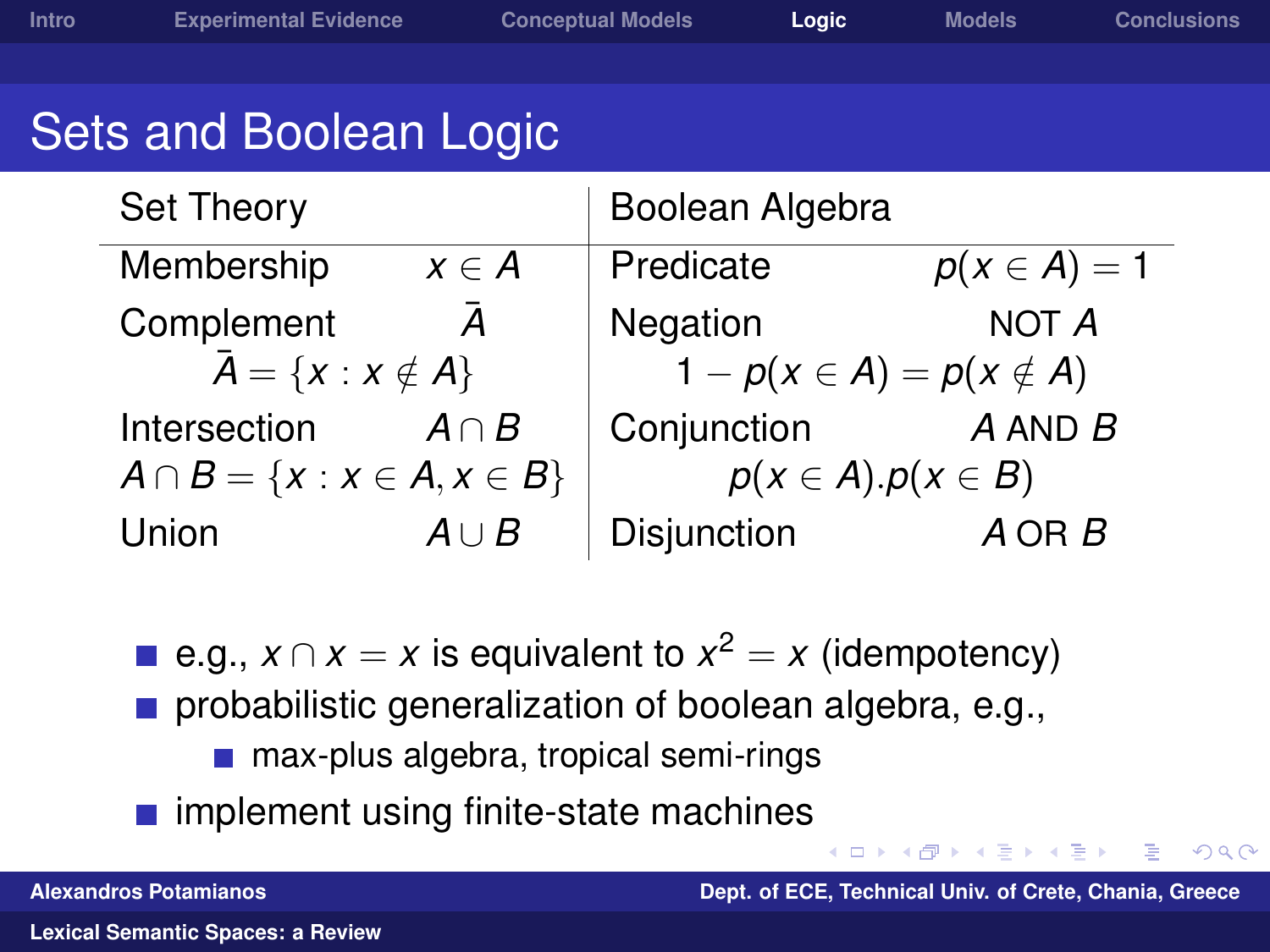## Sets and Boolean Logic

| Set Theory                            |                | Boolean Algebra                |                  |  |
|---------------------------------------|----------------|--------------------------------|------------------|--|
| Membership                            | $x \in A$      | Predicate                      | $p(x \in A) = 1$ |  |
| Complement                            | $\overline{A}$ | Negation                       | NOT A            |  |
| $\bar{A} = \{x : x \notin A\}$        |                | $1-p(x \in A) = p(x \notin A)$ |                  |  |
| Intersection                          | $A \cap B$     | Conjunction                    | $A$ AND $B$      |  |
| $A \cap B = \{x : x \in A, x \in B\}$ |                | $p(x \in A).p(x \in B)$        |                  |  |
| Union                                 | $A \cup B$     | Disjunction                    | $A$ OR $B$       |  |

e.g.,  $x \cap x = x$  is equivalent to  $x^2 = x$  (idempotency)

- probabilistic generalization of boolean algebra, e.g.,
	- max-plus algebra, tropical semi-rings
- <span id="page-14-0"></span> $\blacksquare$  implement using finite-state machines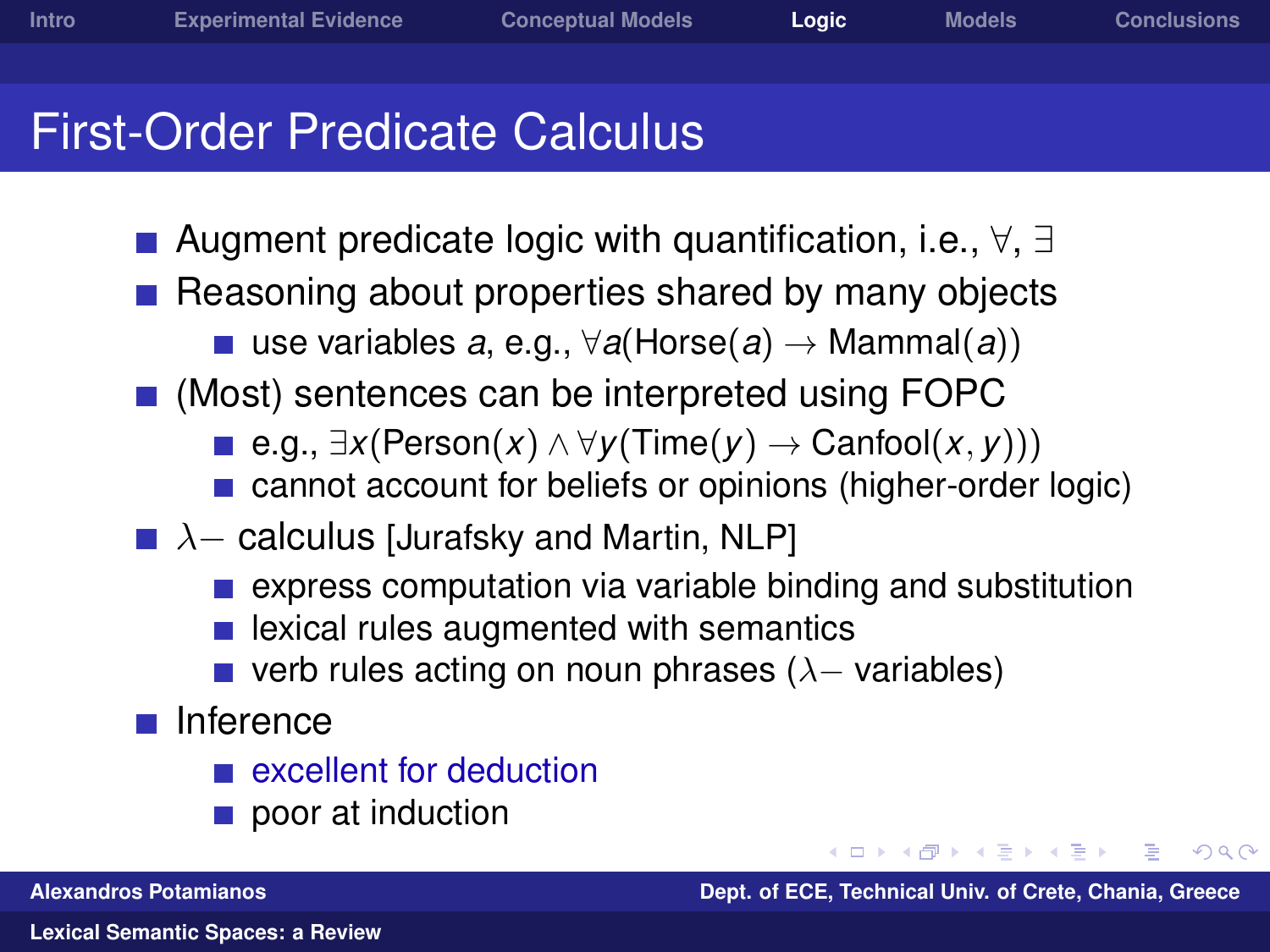### First-Order Predicate Calculus

- Augment predicate logic with quantification, i.e., ∀, ∃
- Reasoning about properties shared by many objects
	- use variables *a*, e.g., ∀*a*(Horse(*a*) → Mammal(*a*))
- (Most) sentences can be interpreted using FOPC
	- **■** e.g.,  $\exists x (Person(x) \land \forall y (Time(y) \rightarrow Canfool(x, y)))$
	- cannot account for beliefs or opinions (higher-order logic)
- $\blacksquare$   $\lambda$  calculus [Jurafsky and Martin, NLP]
	- **E** express computation via variable binding and substitution
	- lexical rules augmented with semantics
	- verb rules acting on noun phrases ( $\lambda$  variables)
- $\blacksquare$  Inference
	- excellent for deduction
	- poor at induction

**Alexandros Potamianos Dept. of ECE, Technical Univ. of Crete, Chania, Greece**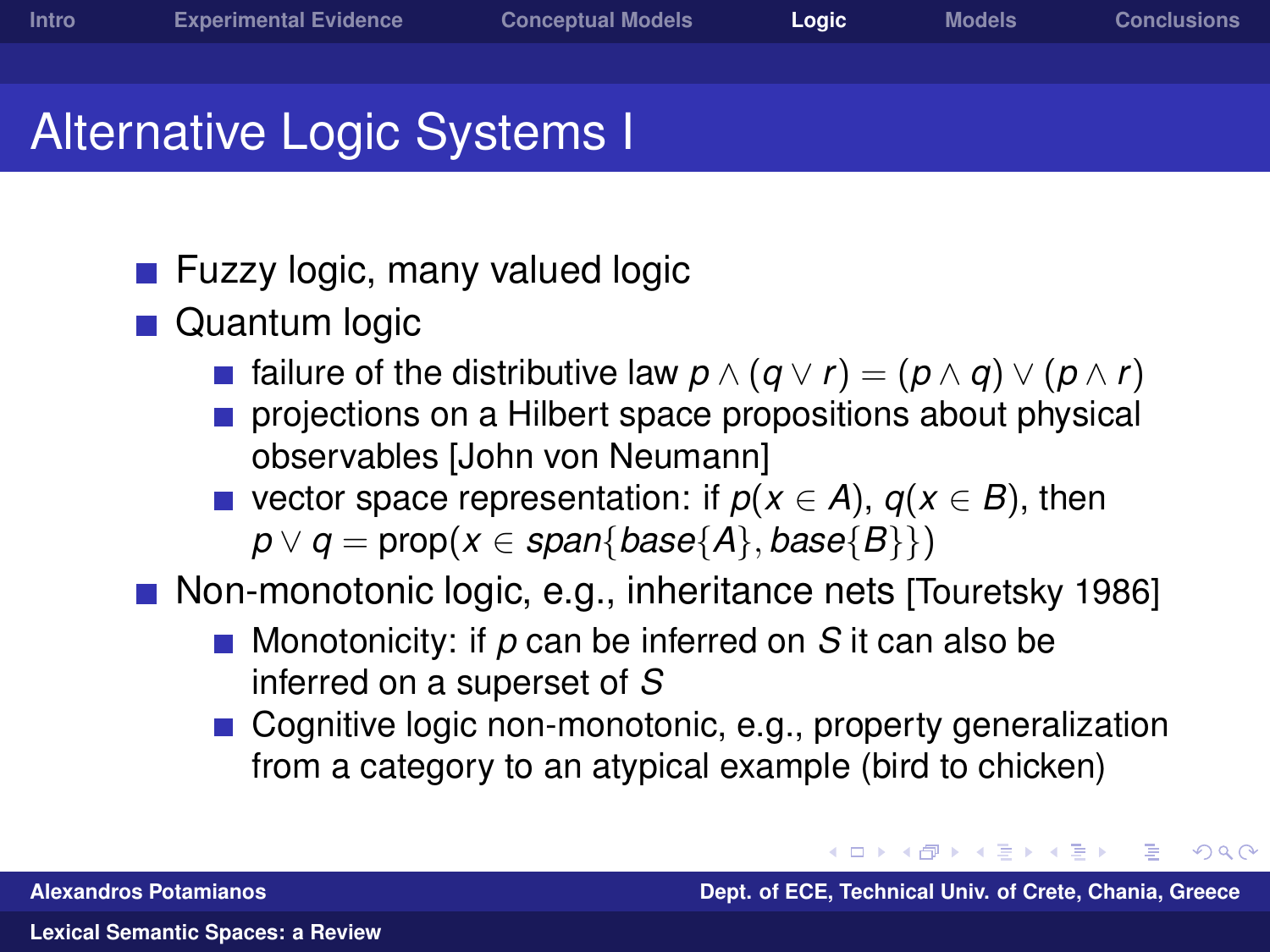$\Omega$ 

## Alternative Logic Systems I

- **Fuzzy logic, many valued logic**
- **Quantum logic** 
	- **■** failure of the distributive law  $p \wedge (q \vee r) = (p \wedge q) \vee (p \wedge r)$
	- projections on a Hilbert space propositions about physical observables [John von Neumann]
	- vector space representation: if  $p(x \in A)$ ,  $q(x \in B)$ , then  $p \lor q = \text{prop}(x \in \text{span}\{\text{base}\{A\},\text{base}\{B\}\})$

Non-monotonic logic, e.g., inheritance nets [Touretsky 1986]

- Monotonicity: if *p* can be inferred on *S* it can also be inferred on a superset of *S*
- Cognitive logic non-monotonic, e.g., property generalization from a category to an atypical example (bird to chicken)

←ロ→ ←何→ ←ヨ→ ←ヨ **Alexandros Potamianos Dept. of ECE, Technical Univ. of Crete, Chania, Greece**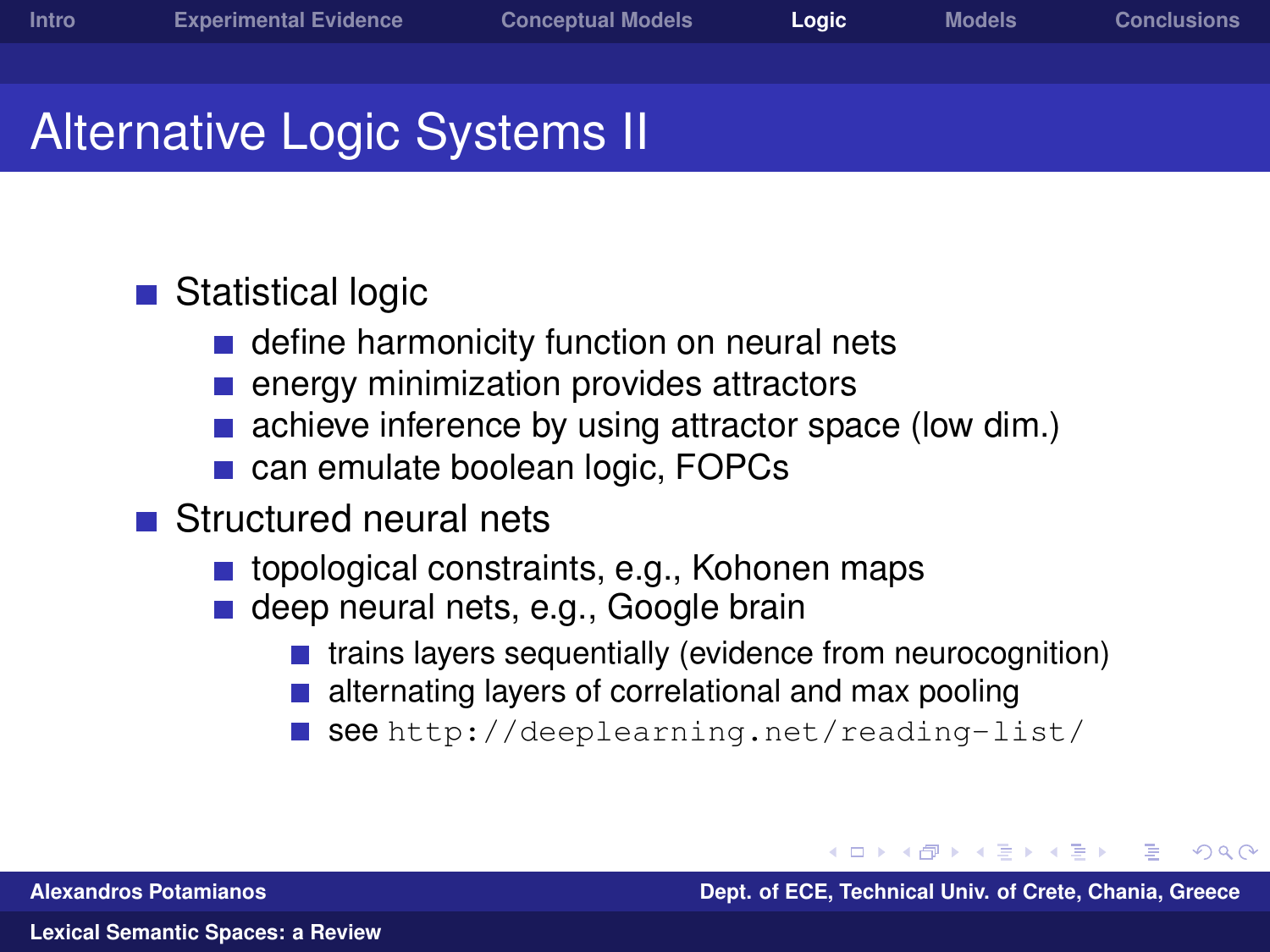## Alternative Logic Systems II

#### ■ Statistical logic

- define harmonicity function on neural nets
- energy minimization provides attractors
- achieve inference by using attractor space (low dim.)
- can emulate boolean logic, FOPCs
- Structured neural nets
	- topological constraints, e.g., Kohonen maps
	- deep neural nets, e.g., Google brain
		- trains layers sequentially (evidence from neurocognition)
		- alternating layers of correlational and max pooling
		- see <http://deeplearning.net/reading-list/>

**Alexandros Potamianos Dept. of ECE, Technical Univ. of Crete, Chania, Greece**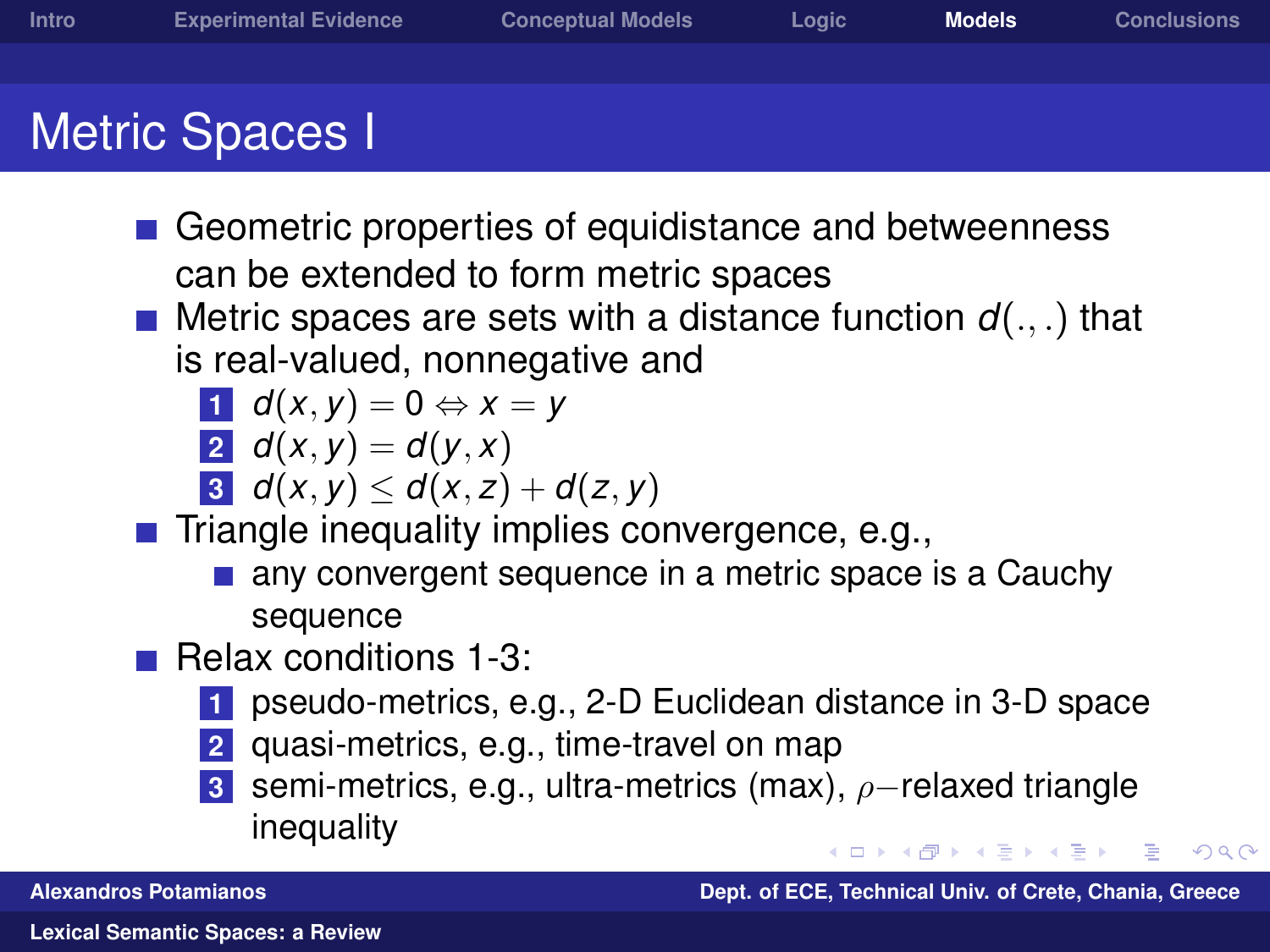- Geometric properties of equidistance and betweenness can be extended to form metric spaces
- **Metric spaces are sets with a distance function**  $d(.,.)$  **that** is real-valued, nonnegative and

$$
d(x,y)=0 \Leftrightarrow x=y
$$

$$
2 \, d(x,y) = d(y,x)
$$

$$
3 \mid d(x,y) \leq d(x,z) + d(z,y)
$$

 $\blacksquare$  Triangle inequality implies convergence, e.g.,

- any convergent sequence in a metric space is a Cauchy sequence
- **Relax conditions 1-3:** 
	- **1** pseudo-metrics, e.g., 2-D Euclidean distance in 3-D space
	- **2** quasi-metrics, e.g., time-travel on map
	- **3** semi-metrics, e.g., ultra-metrics (max), ρ–relaxed triangle inequality

**Alexandros Potamianos Dept. of ECE, Technical Univ. of Crete, Chania, Greece**

<span id="page-18-0"></span> $\Omega$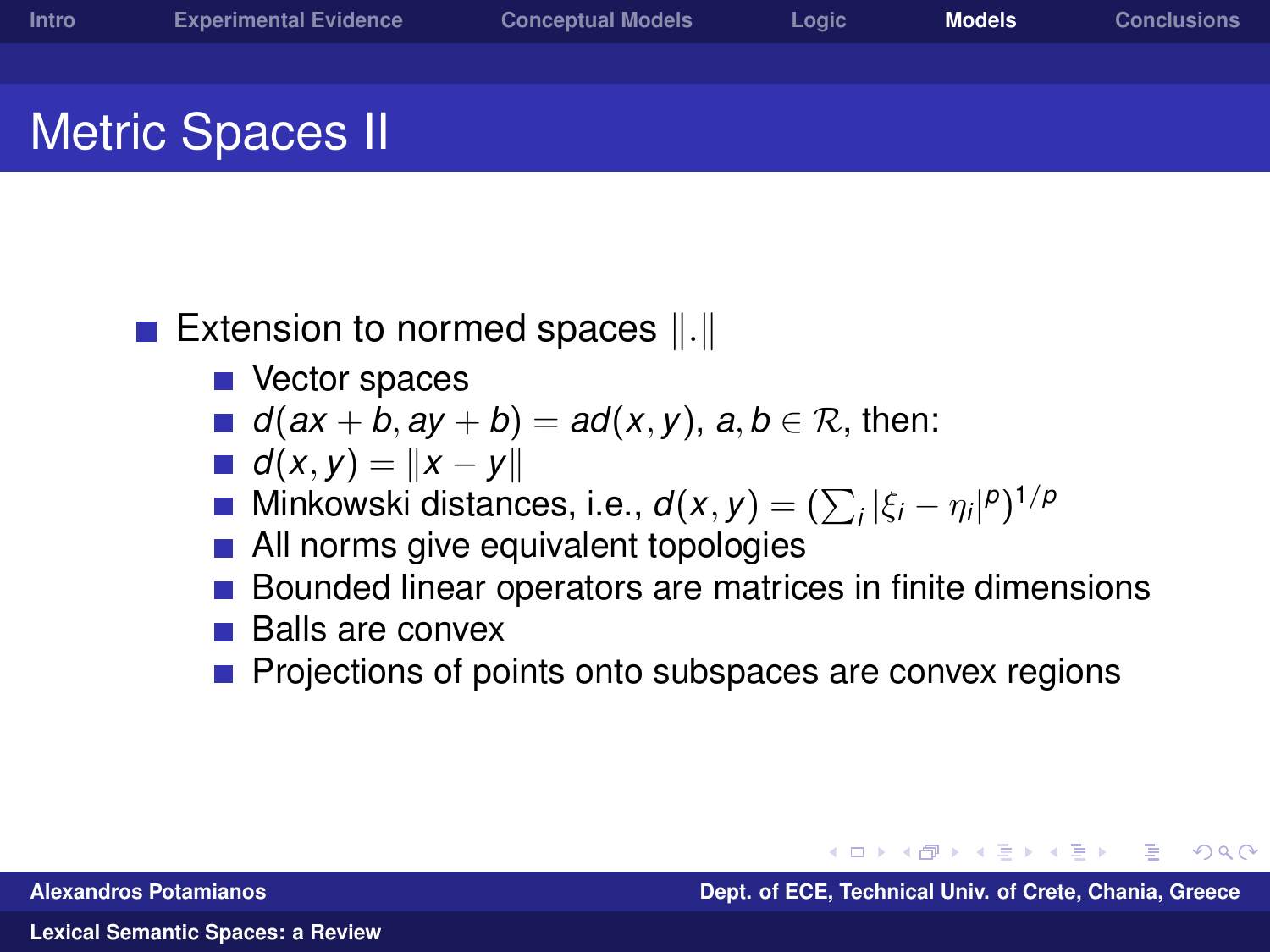$209$ 

## Metric Spaces II

#### Extension to normed spaces  $\Vert . \Vert$

- Vector spaces
- *d*( $ax + b$ ,  $ay + b$ ) =  $ad(x, y)$ ,  $a, b \in \mathbb{R}$ , then:
- *d*(*x*, *y*) =  $\|$ *x* − *y* $\|$
- Minkowski distances, i.e.,  $d(x, y) = (\sum_i |\xi_i \eta_i|^p)^{1/p}$
- **All norms give equivalent topologies**
- Bounded linear operators are matrices in finite dimensions
- Balls are convex
- Projections of points onto subspaces are convex regions

**Alexandros Potamianos Dept. of ECE, Technical Univ. of Crete, Chania, Greece**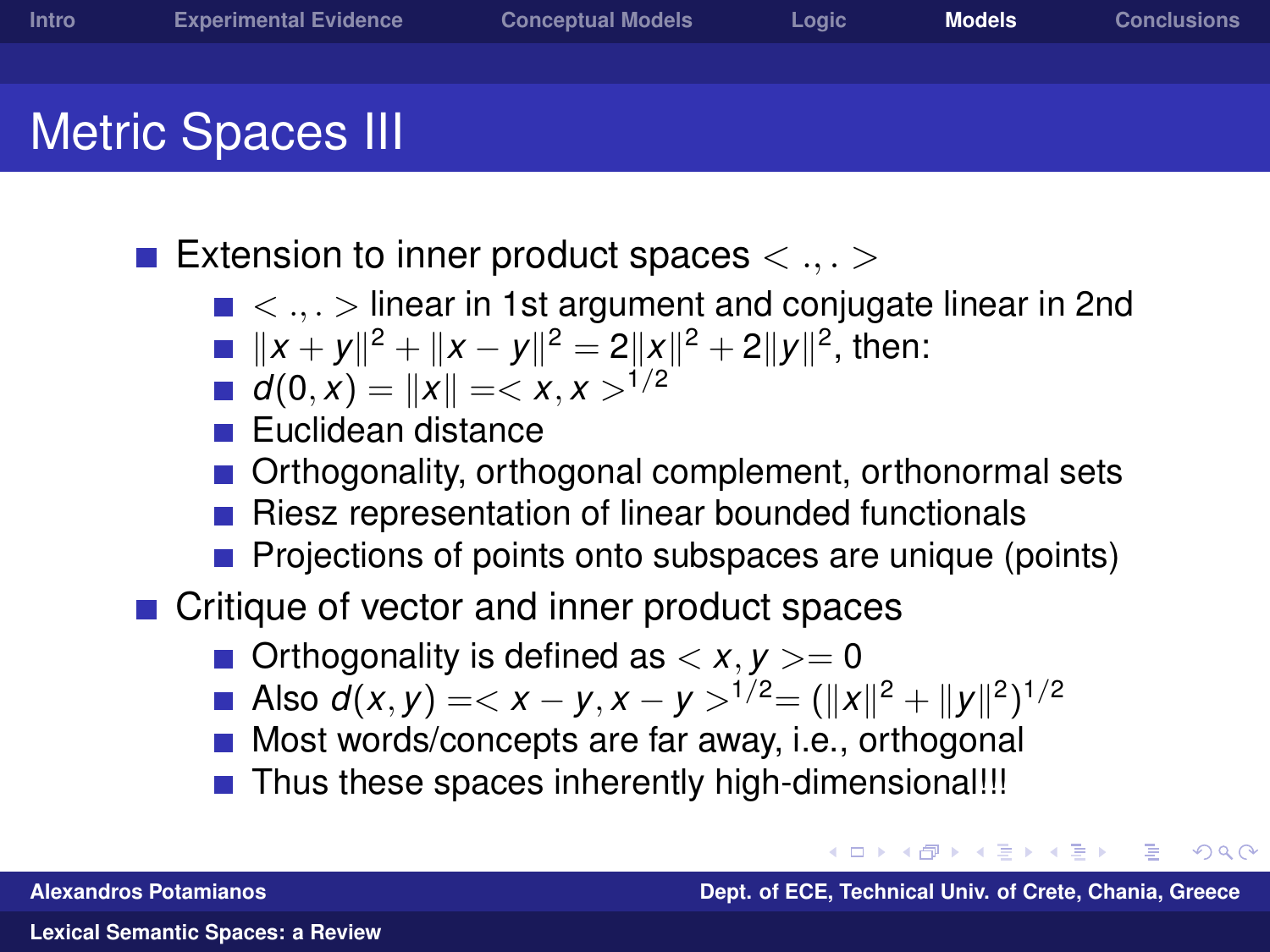Extension to inner product spaces  $\langle \ldots \rangle$ 

- $\blacksquare$  < ... > linear in 1st argument and conjugate linear in 2nd
- $||x + y||^2 + ||x y||^2 = 2||x||^2 + 2||y||^2$ , then:
- *d*(0, *x*) = ||*x*|| = < *x*, *x* ><sup>1/2</sup>
- **Euclidean distance**
- Orthogonality, orthogonal complement, orthonormal sets
- Riesz representation of linear bounded functionals
- Projections of points onto subspaces are unique (points)
- Critique of vector and inner product spaces
	- $\blacksquare$  Orthogonality is defined as  $\langle x, y \rangle = 0$
	- Also  $d(x, y) = ^{1/2} = (\|x\|^2 + \|y\|^2)^{1/2}$
	- **Most words/concepts are far away, i.e., orthogonal**
	- Thus these spaces inherently high-dimensional!!!

つくへ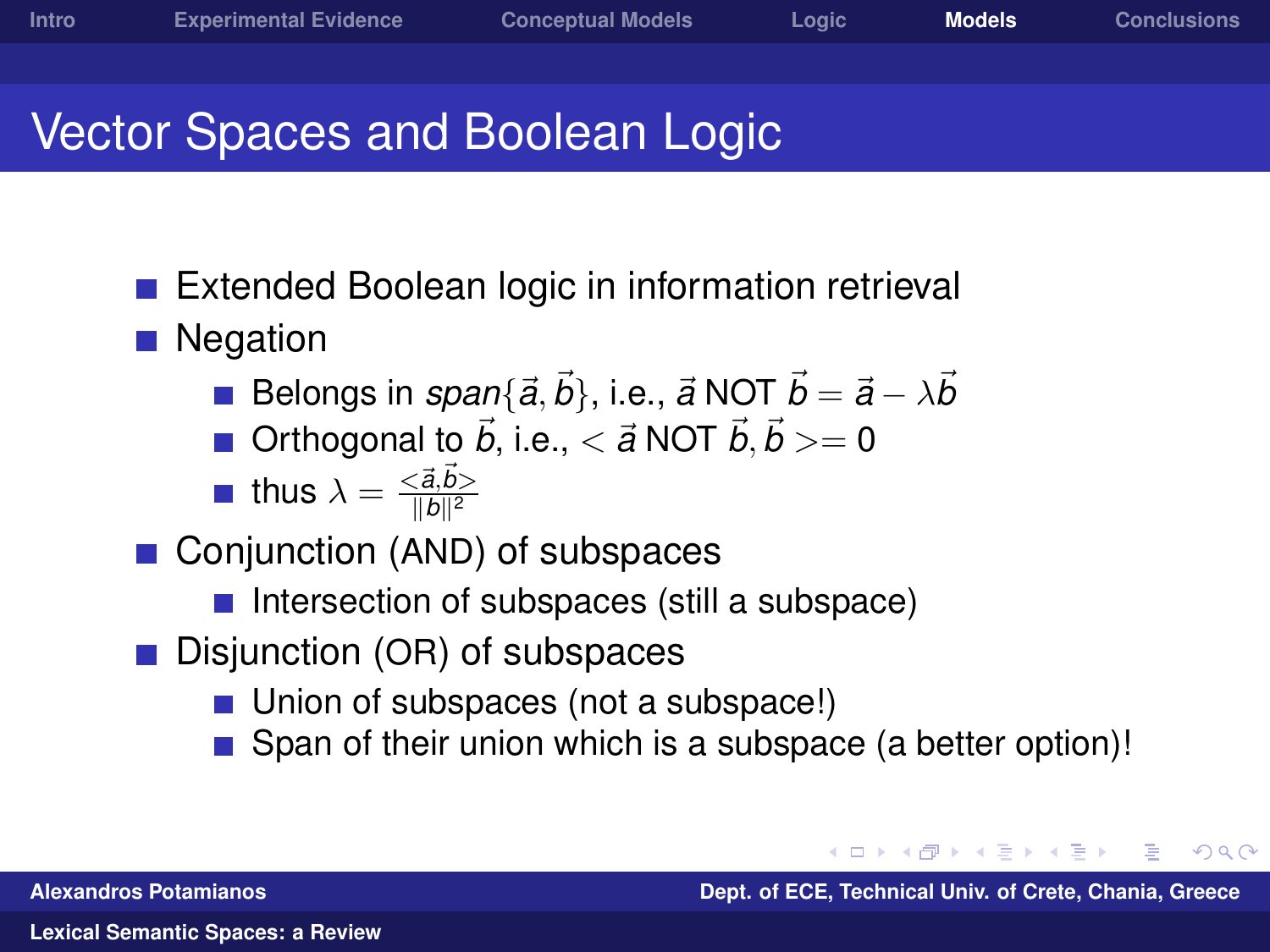## Vector Spaces and Boolean Logic

- Extended Boolean logic in information retrieval
- Negation
	- Belongs in  $span\{{\vec a},{\vec b}\},$  i.e.,  ${\vec a}$  NOT  ${\vec b}={\vec a}-\lambda {\vec b}$
	- Orthogonal to  $\vec{b}$ , i.e.,  $< \vec{a}$  NOT  $\vec{b}$ ,  $\vec{b} >= 0$

**thus** 
$$
\lambda = \frac{\langle \vec{a}, \vec{b} \rangle}{\| \vec{b} \|^2}
$$

- Conjunction (AND) of subspaces
	- $\blacksquare$  Intersection of subspaces (still a subspace)
- Disjunction (OR) of subspaces
	- Union of subspaces (not a subspace!)
	- Span of their union which is a subspace (a better option)!

**Alexandros Potamianos Dept. of ECE, Technical Univ. of Crete, Chania, Greece**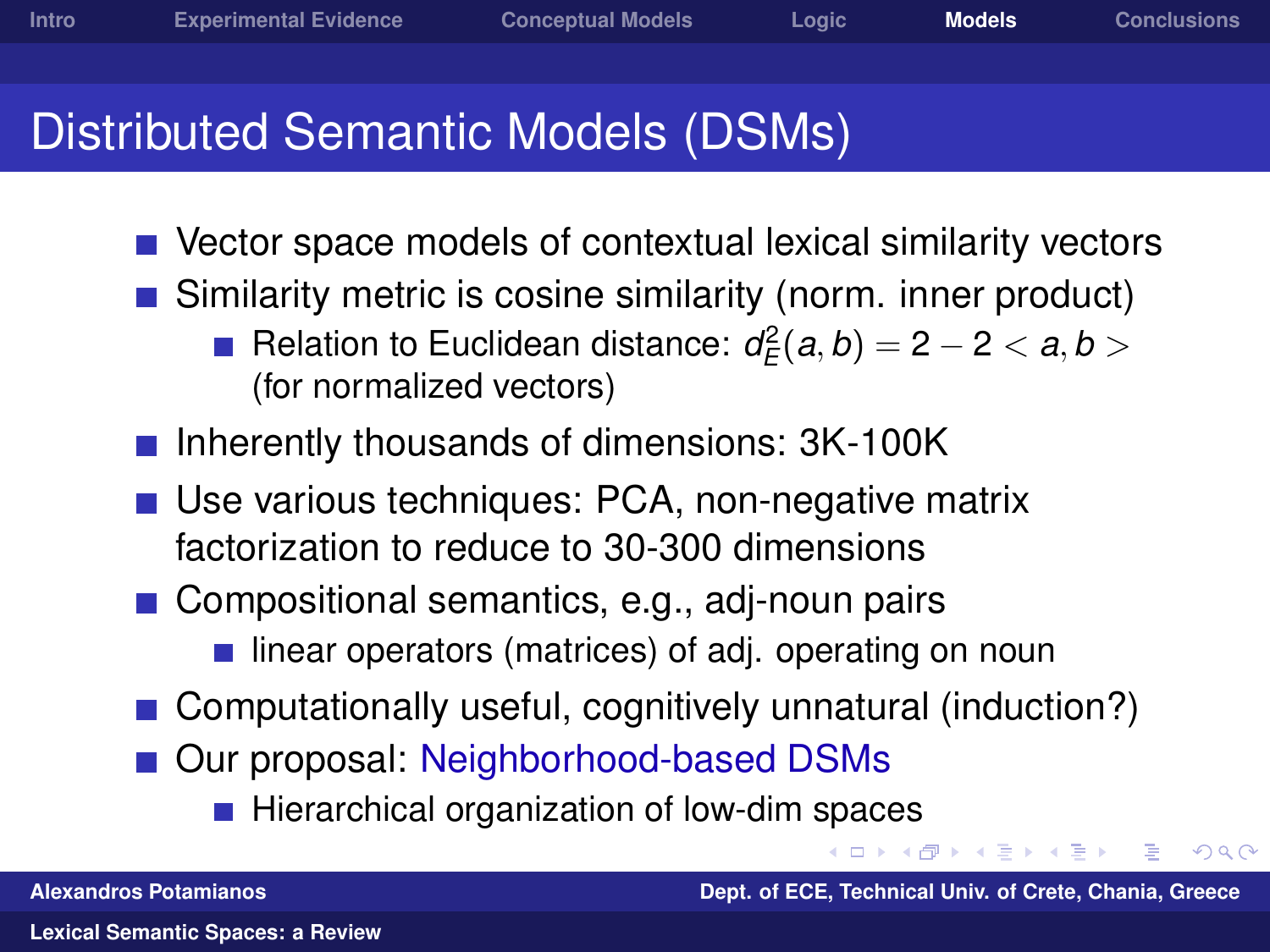### Distributed Semantic Models (DSMs)

- Vector space models of contextual lexical similarity vectors
- Similarity metric is cosine similarity (norm. inner product)
	- Relation to Euclidean distance:  $d_{\mathcal{E}}^2(a, b) = 2 2 < a, b > 0$ (for normalized vectors)
- Inherently thousands of dimensions: 3K-100K
- Use various techniques: PCA, non-negative matrix factorization to reduce to 30-300 dimensions
- Compositional semantics, e.g., adj-noun pairs
	- $\blacksquare$  linear operators (matrices) of adj. operating on noun
- Computationally useful, cognitively unnatural (induction?)
- Our proposal: Neighborhood-based DSMs
	- Hierarchical organization of low-dim spaces

**Alexandros Potamianos Dept. of ECE, Technical Univ. of Crete, Chania, Greece**

4 三 日

つくへ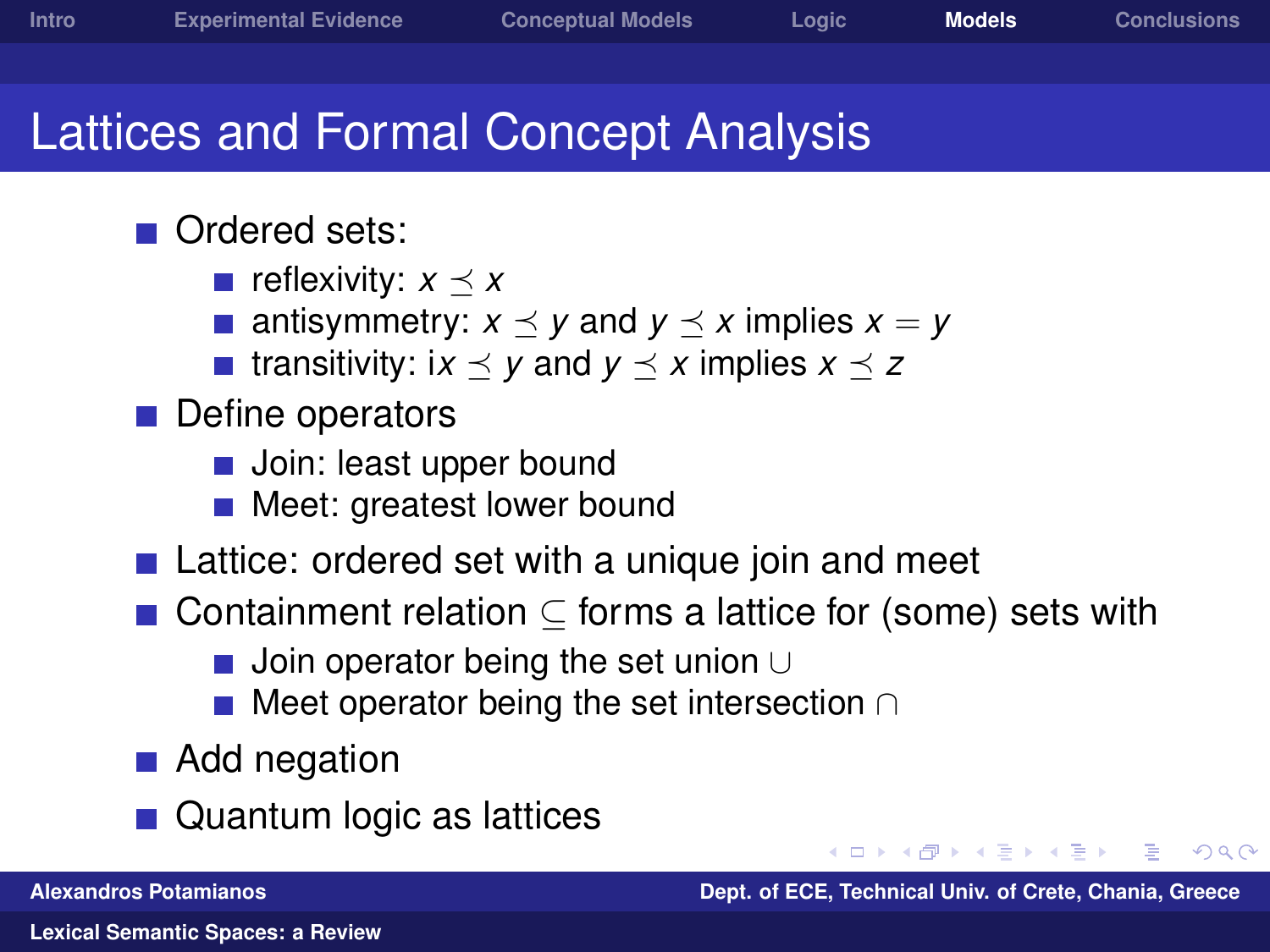#### Lattices and Formal Concept Analysis

#### ■ Ordered sets:

- **r** reflexivity:  $x \prec x$
- antisymmetry:  $x \preceq y$  and  $y \preceq x$  implies  $x = y$
- $\blacksquare$  transitivity: ix  $\prec$  y and  $y \prec x$  implies  $x \prec z$
- **Define operators** 
	- **Join: least upper bound**
	- **Meet: greatest lower bound**
- Lattice: ordered set with a unique join and meet
- Containment relation  $\subset$  forms a lattice for (some) sets with
	- Join operator being the set union ∪
	- Meet operator being the set intersection ∩
- Add negation
- Quantum logic as lattices

 $209$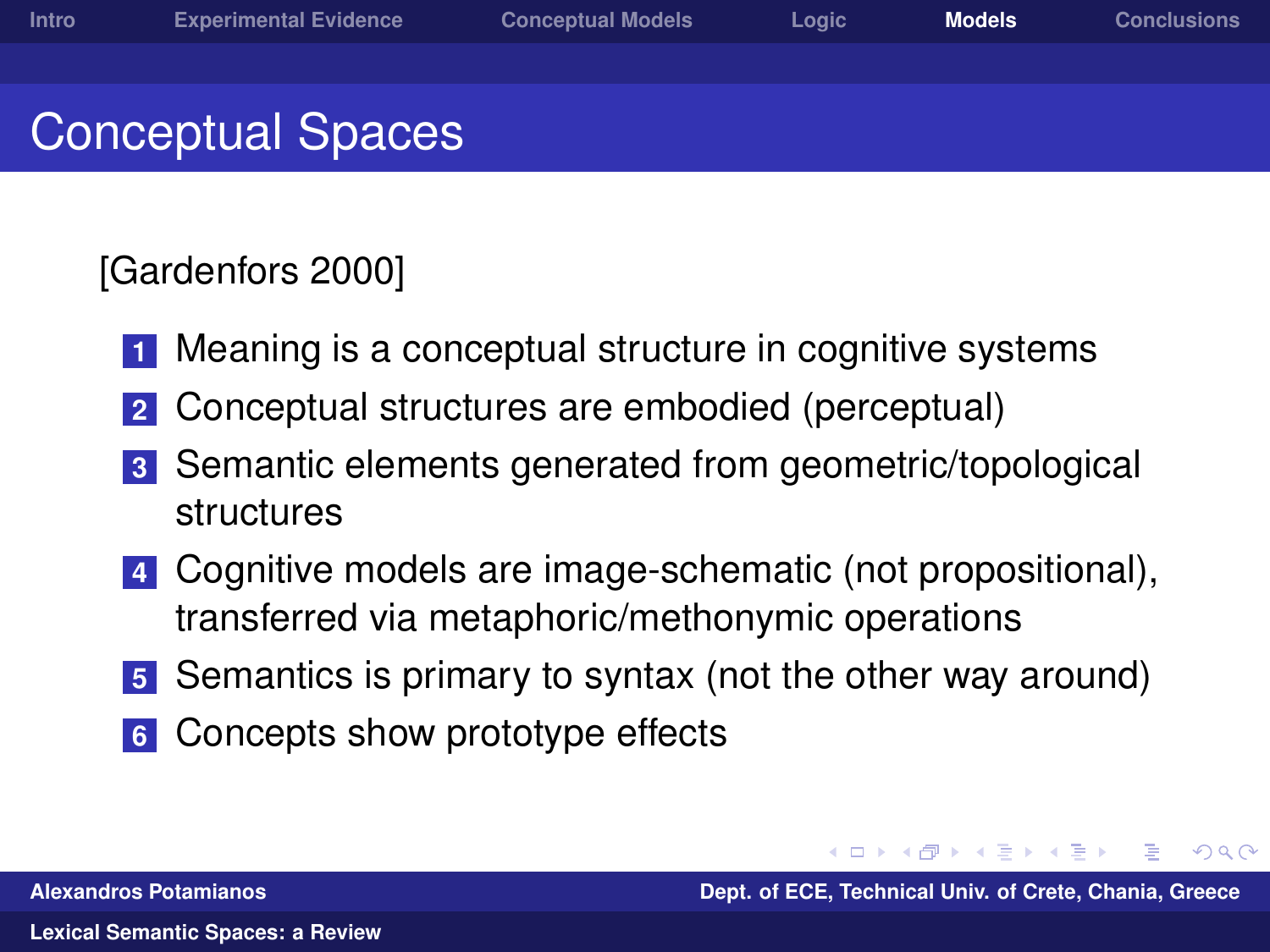## Conceptual Spaces

#### [Gardenfors 2000]

- **1** Meaning is a conceptual structure in cognitive systems
- **2** Conceptual structures are embodied (perceptual)
- **3** Semantic elements generated from geometric/topological structures
- **4** Cognitive models are image-schematic (not propositional), transferred via metaphoric/methonymic operations
- **5** Semantics is primary to syntax (not the other way around)
- **6** Concepts show prototype effects

医毛毛 化三甲

 $\Omega$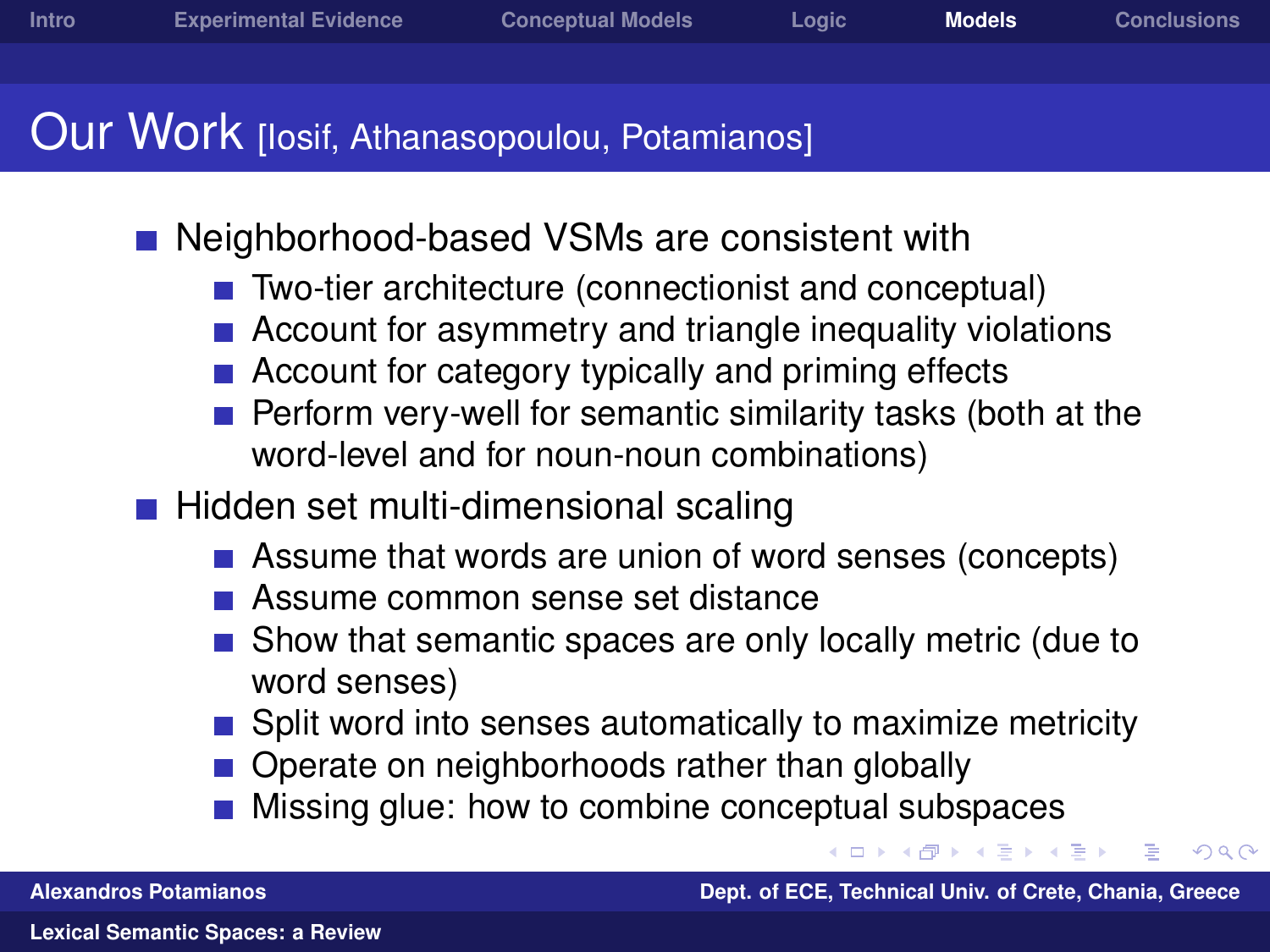#### Our Work [losif, Athanasopoulou, Potamianos]

- Neighborhood-based VSMs are consistent with
	- Two-tier architecture (connectionist and conceptual)
	- Account for asymmetry and triangle inequality violations
	- Account for category typically and priming effects
	- Perform very-well for semantic similarity tasks (both at the word-level and for noun-noun combinations)
- $\blacksquare$  Hidden set multi-dimensional scaling
	- Assume that words are union of word senses (concepts)
	- **Assume common sense set distance**
	- Show that semantic spaces are only locally metric (due to word senses)
	- Split word into senses automatically to maximize metricity
	- Operate on neighborhoods rather than globally
	- Missing glue: how to combine conceptual subspaces

 $\Omega$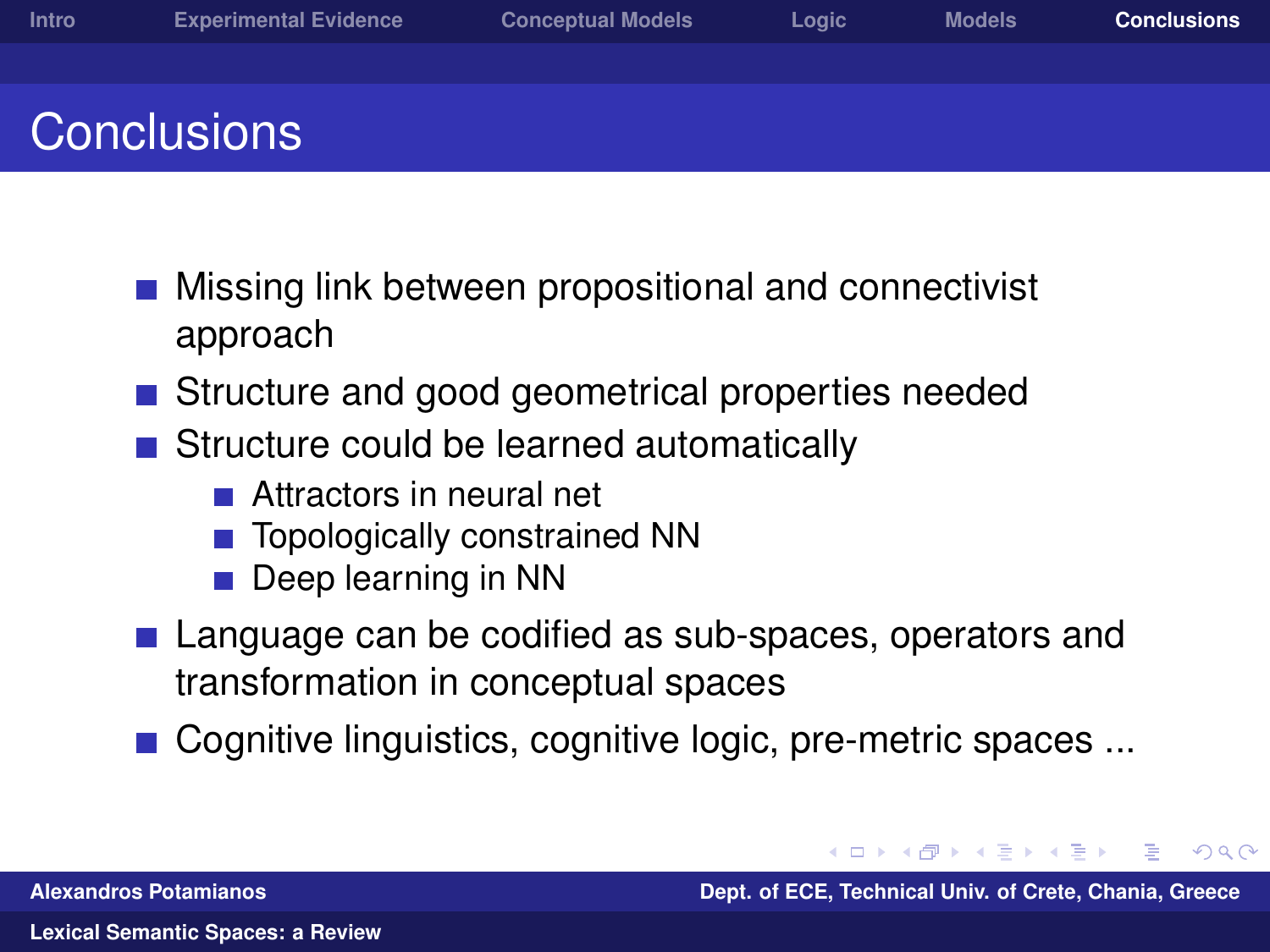- Missing link between propositional and connectivist approach
- Structure and good geometrical properties needed
- Structure could be learned automatically
	- **Attractors in neural net**
	- Topologically constrained NN
	- Deep learning in NN
- Language can be codified as sub-spaces, operators and transformation in conceptual spaces
- Cognitive linguistics, cognitive logic, pre-metric spaces ...

**Alexandros Potamianos Dept. of ECE, Technical Univ. of Crete, Chania, Greece**

<span id="page-26-0"></span> $\Omega$